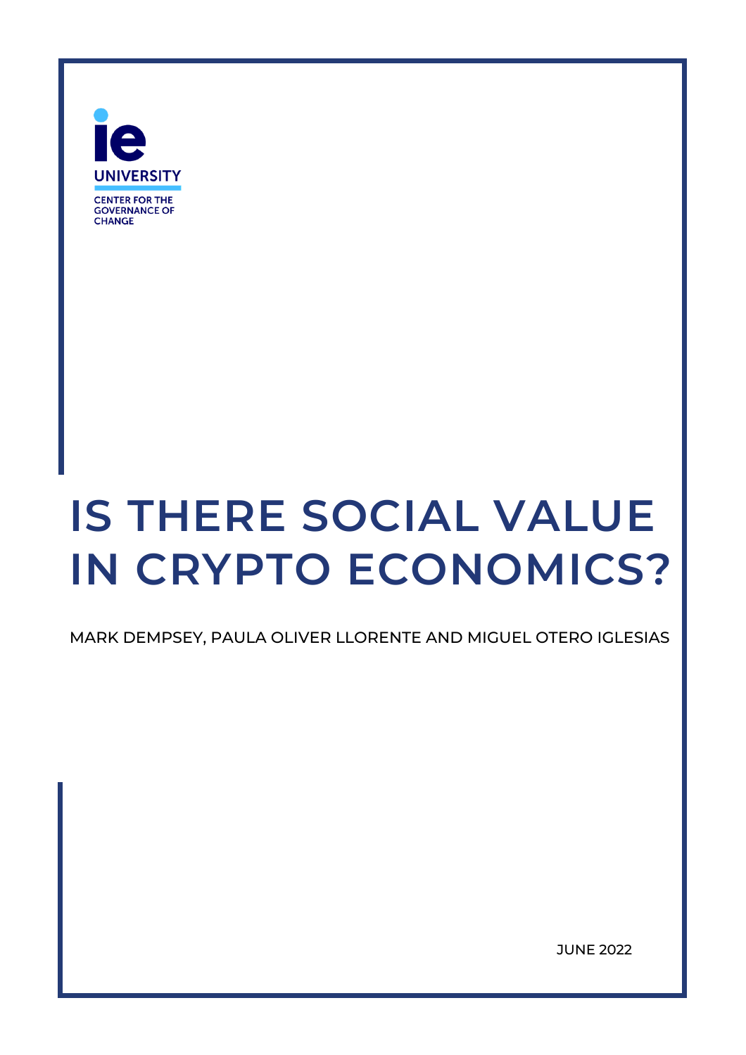

# **IS THERE SOCIAL VALUE IN CRYPTO ECONOMICS?**

MARK DEMPSEY, PAULA OLIVER LLORENTE AND MIGUEL OTERO IGLESIAS

JUNE 2022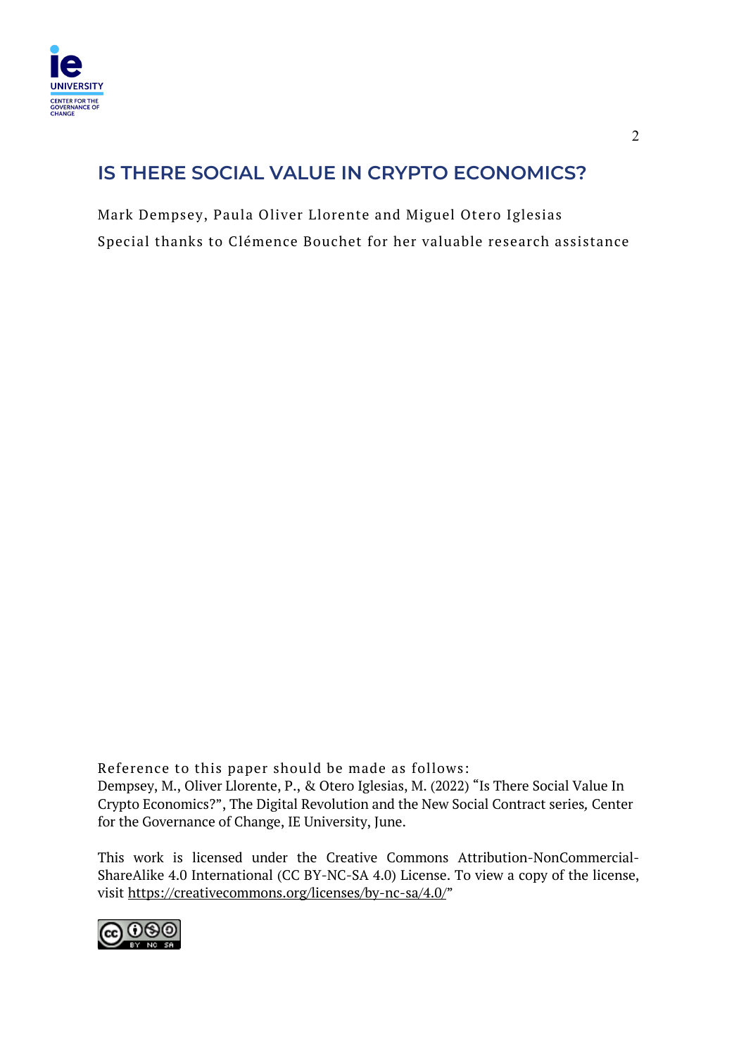

# **IS THERE SOCIAL VALUE IN CRYPTO ECONOMICS?**

Mark Dempsey, Paula Oliver Llorente and Miguel Otero Iglesias Special thanks to Clémence Bouchet for her valuable research assistance

Reference to this paper should be made as follows: Dempsey, M., Oliver Llorente, P., & Otero Iglesias, M. (2022) "Is There Social Value In Crypto Economics?", The Digital Revolution and the New Social Contract series*,* Center for the Governance of Change, IE University, June.

This work is licensed under the Creative Commons Attribution-NonCommercial-ShareAlike 4.0 International (CC BY-NC-SA 4.0) License. To view a copy of the license, visit https://creativecommons.org/licenses/by-nc-sa/4.0/"

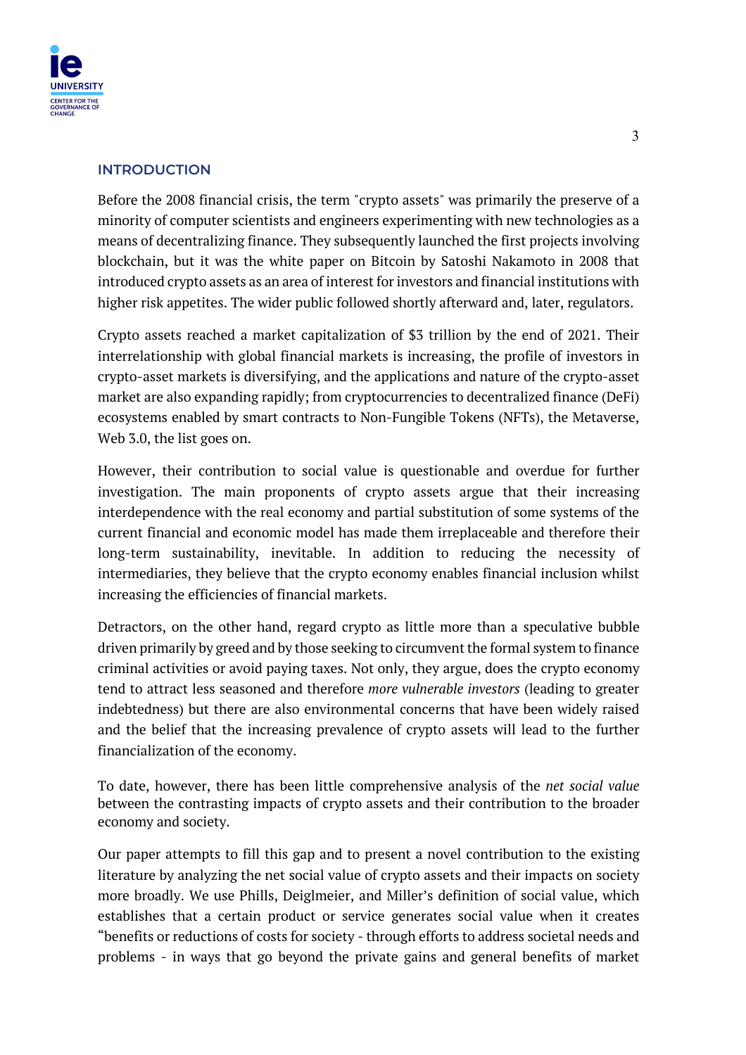

#### **INTRODUCTION**

Before the 2008 financial crisis, the term "crypto assets" was primarily the preserve of a minority of computer scientists and engineers experimenting with new technologies as a means of decentralizing finance. They subsequently launched the first projects involving blockchain, but it was the white paper on Bitcoin by Satoshi Nakamoto in 2008 that introduced crypto assets as an area of interest for investors and financial institutions with higher risk appetites. The wider public followed shortly afterward and, later, regulators.

Crypto assets reached a market capitalization of \$3 trillion by the end of 2021. Their interrelationship with global financial markets is increasing, the profile of investors in crypto-asset markets is diversifying, and the applications and nature of the crypto-asset market are also expanding rapidly; from cryptocurrencies to decentralized finance (DeFi) ecosystems enabled by smart contracts to Non-Fungible Tokens (NFTs), the Metaverse, Web 3.0, the list goes on.

However, their contribution to social value is questionable and overdue for further investigation. The main proponents of crypto assets argue that their increasing interdependence with the real economy and partial substitution of some systems of the current financial and economic model has made them irreplaceable and therefore their long-term sustainability, inevitable. In addition to reducing the necessity of intermediaries, they believe that the crypto economy enables financial inclusion whilst increasing the efficiencies of financial markets.

Detractors, on the other hand, regard crypto as little more than a speculative bubble driven primarily by greed and by those seeking to circumvent the formal system to finance criminal activities or avoid paying taxes. Not only, they argue, does the crypto economy tend to attract less seasoned and therefore *more vulnerable investors* (leading to greater indebtedness) but there are also environmental concerns that have been widely raised and the belief that the increasing prevalence of crypto assets will lead to the further financialization of the economy.

To date, however, there has been little comprehensive analysis of the *net social value*  between the contrasting impacts of crypto assets and their contribution to the broader economy and society.

Our paper attempts to fill this gap and to present a novel contribution to the existing literature by analyzing the net social value of crypto assets and their impacts on society more broadly. We use Phills, Deiglmeier, and Miller's definition of social value, which establishes that a certain product or service generates social value when it creates "benefits or reductions of costs for society - through efforts to address societal needs and problems - in ways that go beyond the private gains and general benefits of market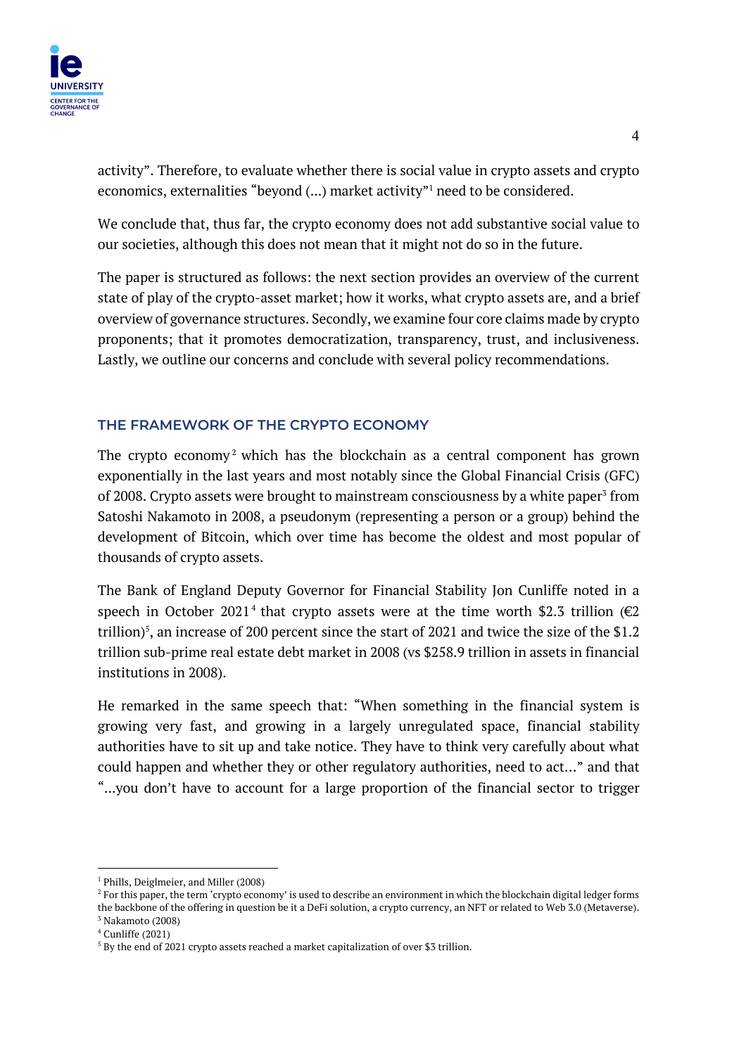

activity". Therefore, to evaluate whether there is social value in crypto assets and crypto economics, externalities "beyond (...) market activity"<sup>1</sup> need to be considered.

We conclude that, thus far, the crypto economy does not add substantive social value to our societies, although this does not mean that it might not do so in the future.

The paper is structured as follows: the next section provides an overview of the current state of play of the crypto-asset market; how it works, what crypto assets are, and a brief overview of governance structures. Secondly, we examine four core claims made by crypto proponents; that it promotes democratization, transparency, trust, and inclusiveness. Lastly, we outline our concerns and conclude with several policy recommendations.

# **THE FRAMEWORK OF THE CRYPTO ECONOMY**

The crypto economy<sup>2</sup> which has the blockchain as a central component has grown exponentially in the last years and most notably since the Global Financial Crisis (GFC) of 2008. Crypto assets were brought to mainstream consciousness by a white paper<sup>3</sup> from Satoshi Nakamoto in 2008, a pseudonym (representing a person or a group) behind the development of Bitcoin, which over time has become the oldest and most popular of thousands of crypto assets.

The Bank of England Deputy Governor for Financial Stability Jon Cunliffe noted in a speech in October 2021<sup>4</sup> that crypto assets were at the time worth \$2.3 trillion ( $\epsilon$ 2 trillion)<sup>5</sup>, an increase of 200 percent since the start of 2021 and twice the size of the \$1.2 trillion sub-prime real estate debt market in 2008 (vs \$258.9 trillion in assets in financial institutions in 2008).

He remarked in the same speech that: "When something in the financial system is growing very fast, and growing in a largely unregulated space, financial stability authorities have to sit up and take notice. They have to think very carefully about what could happen and whether they or other regulatory authorities, need to act…" and that "...you don't have to account for a large proportion of the financial sector to trigger

<sup>&</sup>lt;sup>1</sup> Phills, Deiglmeier, and Miller (2008)

 $2$  For this paper, the term 'crypto economy' is used to describe an environment in which the blockchain digital ledger forms the backbone of the offering in question be it a DeFi solution, a crypto currency, an NFT or related to Web 3.0 (Metaverse).  $3$  Nakamoto (2008)

<sup>4</sup> Cunliffe (2021)

 $5$  By the end of 2021 crypto assets reached a market capitalization of over \$3 trillion.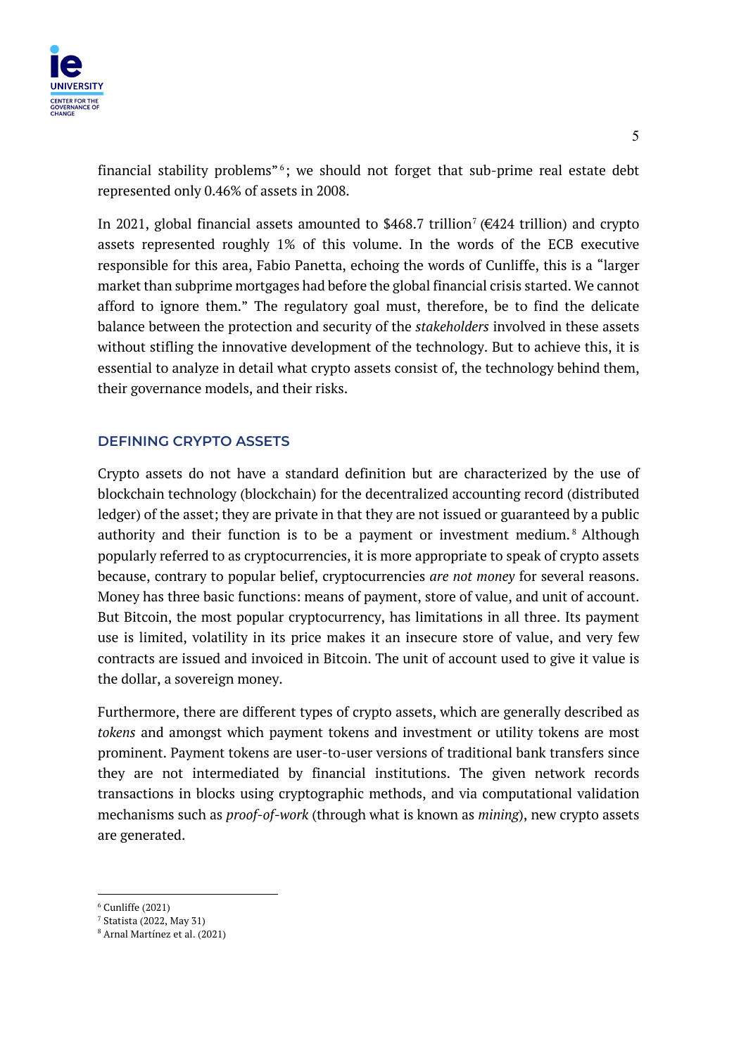financial stability problems<sup> $n_6$ </sup>; we should not forget that sub-prime real estate debt represented only 0.46% of assets in 2008.

In 2021, global financial assets amounted to \$468.7 trillion<sup>7</sup> ( $\epsilon$ 424 trillion) and crypto assets represented roughly 1% of this volume. In the words of the ECB executive responsible for this area, Fabio Panetta, echoing the words of Cunliffe, this is a "larger market than subprime mortgages had before the global financial crisis started. We cannot afford to ignore them." The regulatory goal must, therefore, be to find the delicate balance between the protection and security of the *stakeholders* involved in these assets without stifling the innovative development of the technology. But to achieve this, it is essential to analyze in detail what crypto assets consist of, the technology behind them, their governance models, and their risks.

# **DEFINING CRYPTO ASSETS**

Crypto assets do not have a standard definition but are characterized by the use of blockchain technology (blockchain) for the decentralized accounting record (distributed ledger) of the asset; they are private in that they are not issued or guaranteed by a public authority and their function is to be a payment or investment medium. <sup>8</sup> Although popularly referred to as cryptocurrencies, it is more appropriate to speak of crypto assets because, contrary to popular belief, cryptocurrencies *are not money* for several reasons. Money has three basic functions: means of payment, store of value, and unit of account. But Bitcoin, the most popular cryptocurrency, has limitations in all three. Its payment use is limited, volatility in its price makes it an insecure store of value, and very few contracts are issued and invoiced in Bitcoin. The unit of account used to give it value is the dollar, a sovereign money.

Furthermore, there are different types of crypto assets, which are generally described as *tokens* and amongst which payment tokens and investment or utility tokens are most prominent. Payment tokens are user-to-user versions of traditional bank transfers since they are not intermediated by financial institutions. The given network records transactions in blocks using cryptographic methods, and via computational validation mechanisms such as *proof-of-work* (through what is known as *mining*), new crypto assets are generated.

 $6$  Cunliffe (2021)

<sup>7</sup> Statista (2022, May 31)

<sup>8</sup> Arnal Martínez et al. (2021)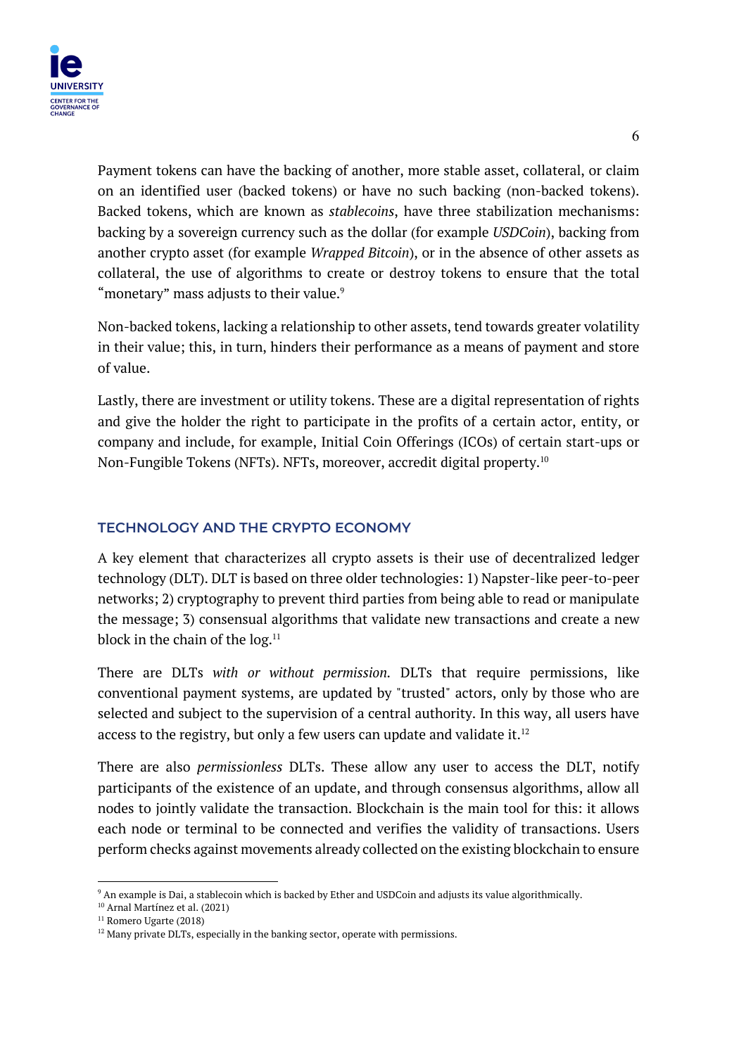

Payment tokens can have the backing of another, more stable asset, collateral, or claim on an identified user (backed tokens) or have no such backing (non-backed tokens). Backed tokens, which are known as *stablecoins*, have three stabilization mechanisms: backing by a sovereign currency such as the dollar (for example *USDCoin*), backing from another crypto asset (for example *Wrapped Bitcoin*), or in the absence of other assets as collateral, the use of algorithms to create or destroy tokens to ensure that the total "monetary" mass adjusts to their value.<sup>9</sup>

Non-backed tokens, lacking a relationship to other assets, tend towards greater volatility in their value; this, in turn, hinders their performance as a means of payment and store of value.

Lastly, there are investment or utility tokens. These are a digital representation of rights and give the holder the right to participate in the profits of a certain actor, entity, or company and include, for example, Initial Coin Offerings (ICOs) of certain start-ups or Non-Fungible Tokens (NFTs). NFTs, moreover, accredit digital property.10

# **TECHNOLOGY AND THE CRYPTO ECONOMY**

A key element that characterizes all crypto assets is their use of decentralized ledger technology (DLT). DLT is based on three older technologies: 1) Napster-like peer-to-peer networks; 2) cryptography to prevent third parties from being able to read or manipulate the message; 3) consensual algorithms that validate new transactions and create a new block in the chain of the  $log.<sup>11</sup>$ 

There are DLTs *with or without permission.* DLTs that require permissions, like conventional payment systems, are updated by "trusted" actors, only by those who are selected and subject to the supervision of a central authority. In this way, all users have access to the registry, but only a few users can update and validate it. $12$ 

There are also *permissionless* DLTs. These allow any user to access the DLT, notify participants of the existence of an update, and through consensus algorithms, allow all nodes to jointly validate the transaction. Blockchain is the main tool for this: it allows each node or terminal to be connected and verifies the validity of transactions. Users perform checks against movements already collected on the existing blockchain to ensure

<sup>9</sup> An example is Dai, a stablecoin which is backed by Ether and USDCoin and adjusts its value algorithmically.

<sup>10</sup> Arnal Martínez et al. (2021)

<sup>&</sup>lt;sup>11</sup> Romero Ugarte (2018)

 $12$  Many private DLTs, especially in the banking sector, operate with permissions.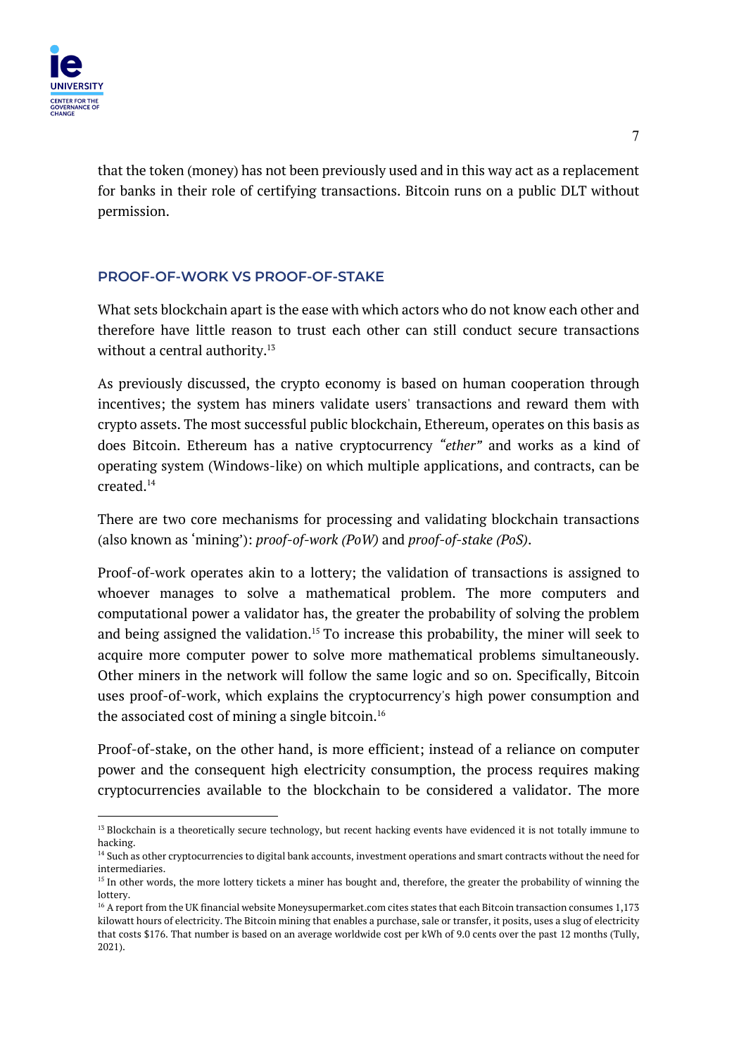

that the token (money) has not been previously used and in this way act as a replacement for banks in their role of certifying transactions. Bitcoin runs on a public DLT without permission.

# **PROOF-OF-WORK VS PROOF-OF-STAKE**

What sets blockchain apart is the ease with which actors who do not know each other and therefore have little reason to trust each other can still conduct secure transactions without a central authority.<sup>13</sup>

As previously discussed, the crypto economy is based on human cooperation through incentives; the system has miners validate users' transactions and reward them with crypto assets. The most successful public blockchain, Ethereum, operates on this basis as does Bitcoin. Ethereum has a native cryptocurrency *"ether"* and works as a kind of operating system (Windows-like) on which multiple applications, and contracts, can be created.14

There are two core mechanisms for processing and validating blockchain transactions (also known as 'mining'): *proof-of-work (PoW)* and *proof-of-stake (PoS)*.

Proof-of-work operates akin to a lottery; the validation of transactions is assigned to whoever manages to solve a mathematical problem. The more computers and computational power a validator has, the greater the probability of solving the problem and being assigned the validation.<sup>15</sup> To increase this probability, the miner will seek to acquire more computer power to solve more mathematical problems simultaneously. Other miners in the network will follow the same logic and so on. Specifically, Bitcoin uses proof-of-work, which explains the cryptocurrency's high power consumption and the associated cost of mining a single bitcoin.<sup>16</sup>

Proof-of-stake, on the other hand, is more efficient; instead of a reliance on computer power and the consequent high electricity consumption, the process requires making cryptocurrencies available to the blockchain to be considered a validator. The more

<sup>&</sup>lt;sup>13</sup> Blockchain is a theoretically secure technology, but recent hacking events have evidenced it is not totally immune to hacking.

<sup>&</sup>lt;sup>14</sup> Such as other cryptocurrencies to digital bank accounts, investment operations and smart contracts without the need for intermediaries.

<sup>&</sup>lt;sup>15</sup> In other words, the more lottery tickets a miner has bought and, therefore, the greater the probability of winning the lottery.

<sup>&</sup>lt;sup>16</sup> A report from the UK financial website Moneysupermarket.com cites states that each Bitcoin transaction consumes 1,173 kilowatt hours of electricity. The Bitcoin mining that enables a purchase, sale or transfer, it posits, uses a slug of electricity that costs \$176. That number is based on an average worldwide cost per kWh of 9.0 cents over the past 12 months (Tully, 2021).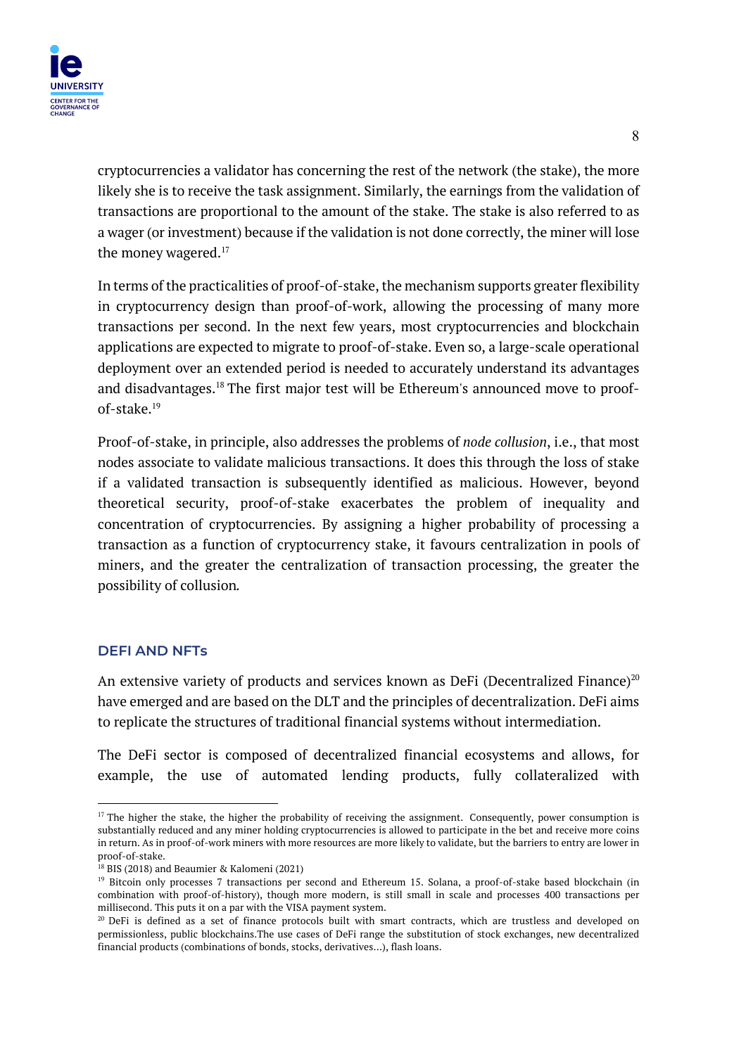

cryptocurrencies a validator has concerning the rest of the network (the stake), the more likely she is to receive the task assignment. Similarly, the earnings from the validation of transactions are proportional to the amount of the stake. The stake is also referred to as a wager (or investment) because if the validation is not done correctly, the miner will lose the money wagered.<sup>17</sup>

In terms of the practicalities of proof-of-stake, the mechanism supports greater flexibility in cryptocurrency design than proof-of-work, allowing the processing of many more transactions per second. In the next few years, most cryptocurrencies and blockchain applications are expected to migrate to proof-of-stake. Even so, a large-scale operational deployment over an extended period is needed to accurately understand its advantages and disadvantages.18 The first major test will be Ethereum's announced move to proofof-stake $19$ 

Proof-of-stake, in principle, also addresses the problems of *node collusion*, i.e., that most nodes associate to validate malicious transactions. It does this through the loss of stake if a validated transaction is subsequently identified as malicious. However, beyond theoretical security, proof-of-stake exacerbates the problem of inequality and concentration of cryptocurrencies. By assigning a higher probability of processing a transaction as a function of cryptocurrency stake, it favours centralization in pools of miners, and the greater the centralization of transaction processing, the greater the possibility of collusion*.*

#### **DEFI AND NFTs**

An extensive variety of products and services known as DeFi (Decentralized Finance)<sup>20</sup> have emerged and are based on the DLT and the principles of decentralization. DeFi aims to replicate the structures of traditional financial systems without intermediation.

The DeFi sector is composed of decentralized financial ecosystems and allows, for example, the use of automated lending products, fully collateralized with

 $17$  The higher the stake, the higher the probability of receiving the assignment. Consequently, power consumption is substantially reduced and any miner holding cryptocurrencies is allowed to participate in the bet and receive more coins in return. As in proof-of-work miners with more resources are more likely to validate, but the barriers to entry are lower in proof-of-stake.

<sup>18</sup> BIS (2018) and Beaumier & Kalomeni (2021)

<sup>&</sup>lt;sup>19</sup> Bitcoin only processes 7 transactions per second and Ethereum 15. Solana, a proof-of-stake based blockchain (in combination with proof-of-history), though more modern, is still small in scale and processes 400 transactions per millisecond. This puts it on a par with the VISA payment system.

 $20$  DeFi is defined as a set of finance protocols built with smart contracts, which are trustless and developed on permissionless, public blockchains.The use cases of DeFi range the substitution of stock exchanges, new decentralized financial products (combinations of bonds, stocks, derivatives…), flash loans.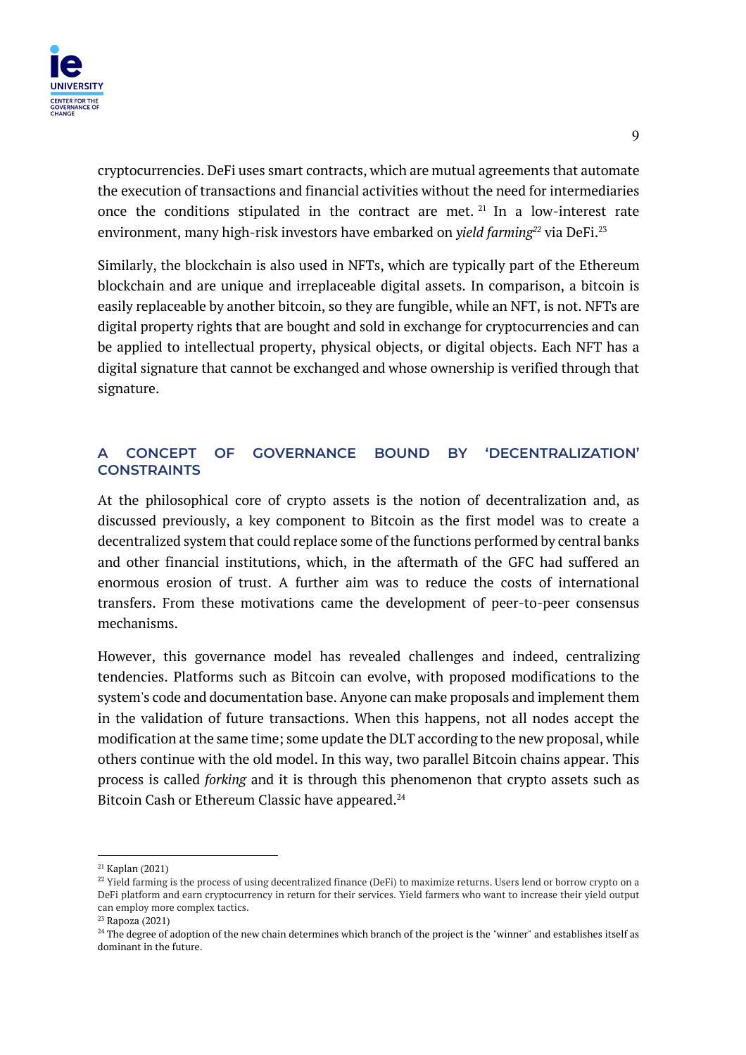

cryptocurrencies. DeFi uses smart contracts, which are mutual agreements that automate the execution of transactions and financial activities without the need for intermediaries once the conditions stipulated in the contract are met.  $21$  In a low-interest rate environment, many high-risk investors have embarked on *yield farming*<sup>22</sup> via DeFi.<sup>23</sup>

Similarly, the blockchain is also used in NFTs, which are typically part of the Ethereum blockchain and are unique and irreplaceable digital assets. In comparison, a bitcoin is easily replaceable by another bitcoin, so they are fungible, while an NFT, is not. NFTs are digital property rights that are bought and sold in exchange for cryptocurrencies and can be applied to intellectual property, physical objects, or digital objects. Each NFT has a digital signature that cannot be exchanged and whose ownership is verified through that signature.

# **A CONCEPT OF GOVERNANCE BOUND BY 'DECENTRALIZATION' CONSTRAINTS**

At the philosophical core of crypto assets is the notion of decentralization and, as discussed previously, a key component to Bitcoin as the first model was to create a decentralized system that could replace some of the functions performed by central banks and other financial institutions, which, in the aftermath of the GFC had suffered an enormous erosion of trust. A further aim was to reduce the costs of international transfers. From these motivations came the development of peer-to-peer consensus mechanisms.

However, this governance model has revealed challenges and indeed, centralizing tendencies. Platforms such as Bitcoin can evolve, with proposed modifications to the system's code and documentation base. Anyone can make proposals and implement them in the validation of future transactions. When this happens, not all nodes accept the modification at the same time; some update the DLT according to the new proposal, while others continue with the old model. In this way, two parallel Bitcoin chains appear. This process is called *forking* and it is through this phenomenon that crypto assets such as Bitcoin Cash or Ethereum Classic have appeared.<sup>24</sup>

<sup>21</sup> Kaplan (2021)

<sup>&</sup>lt;sup>22</sup> Yield farming is the process of using decentralized finance (DeFi) to maximize returns. Users lend or borrow crypto on a DeFi platform and earn cryptocurrency in return for their services. Yield farmers who want to increase their yield output can employ more complex tactics.

 $23$  Rapoza (2021)

 $24$  The degree of adoption of the new chain determines which branch of the project is the "winner" and establishes itself as dominant in the future.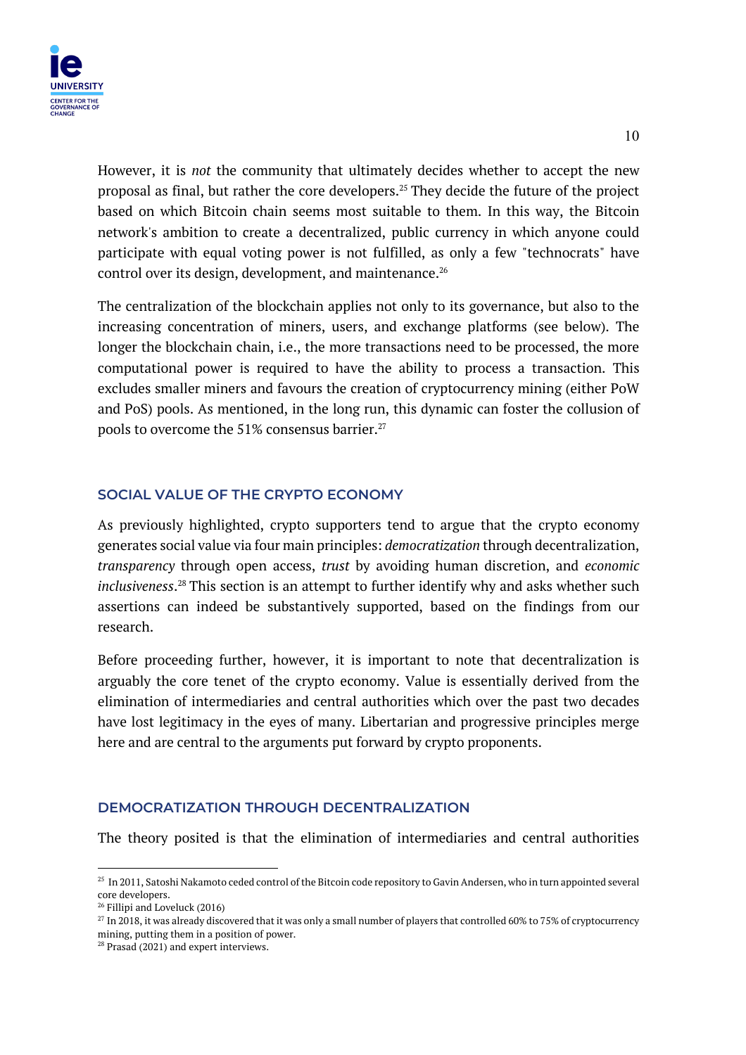

However, it is *not* the community that ultimately decides whether to accept the new proposal as final, but rather the core developers.25 They decide the future of the project based on which Bitcoin chain seems most suitable to them. In this way, the Bitcoin network's ambition to create a decentralized, public currency in which anyone could participate with equal voting power is not fulfilled, as only a few "technocrats" have control over its design, development, and maintenance.<sup>26</sup>

The centralization of the blockchain applies not only to its governance, but also to the increasing concentration of miners, users, and exchange platforms (see below). The longer the blockchain chain, i.e., the more transactions need to be processed, the more computational power is required to have the ability to process a transaction. This excludes smaller miners and favours the creation of cryptocurrency mining (either PoW and PoS) pools. As mentioned, in the long run, this dynamic can foster the collusion of pools to overcome the  $51\%$  consensus barrier.<sup>27</sup>

#### **SOCIAL VALUE OF THE CRYPTO ECONOMY**

As previously highlighted, crypto supporters tend to argue that the crypto economy generates social value via four main principles: *democratization* through decentralization, *transparency* through open access, *trust* by avoiding human discretion, and *economic inclusiveness*. <sup>28</sup> This section is an attempt to further identify why and asks whether such assertions can indeed be substantively supported, based on the findings from our research.

Before proceeding further, however, it is important to note that decentralization is arguably the core tenet of the crypto economy. Value is essentially derived from the elimination of intermediaries and central authorities which over the past two decades have lost legitimacy in the eyes of many. Libertarian and progressive principles merge here and are central to the arguments put forward by crypto proponents.

# **DEMOCRATIZATION THROUGH DECENTRALIZATION**

The theory posited is that the elimination of intermediaries and central authorities

<sup>&</sup>lt;sup>25</sup> In 2011, Satoshi Nakamoto ceded control of the Bitcoin code repository to Gavin Andersen, who in turn appointed several core developers.

<sup>26</sup> Fillipi and Loveluck (2016)

 $27$  In 2018, it was already discovered that it was only a small number of players that controlled 60% to 75% of cryptocurrency mining, putting them in a position of power.

<sup>&</sup>lt;sup>28</sup> Prasad (2021) and expert interviews.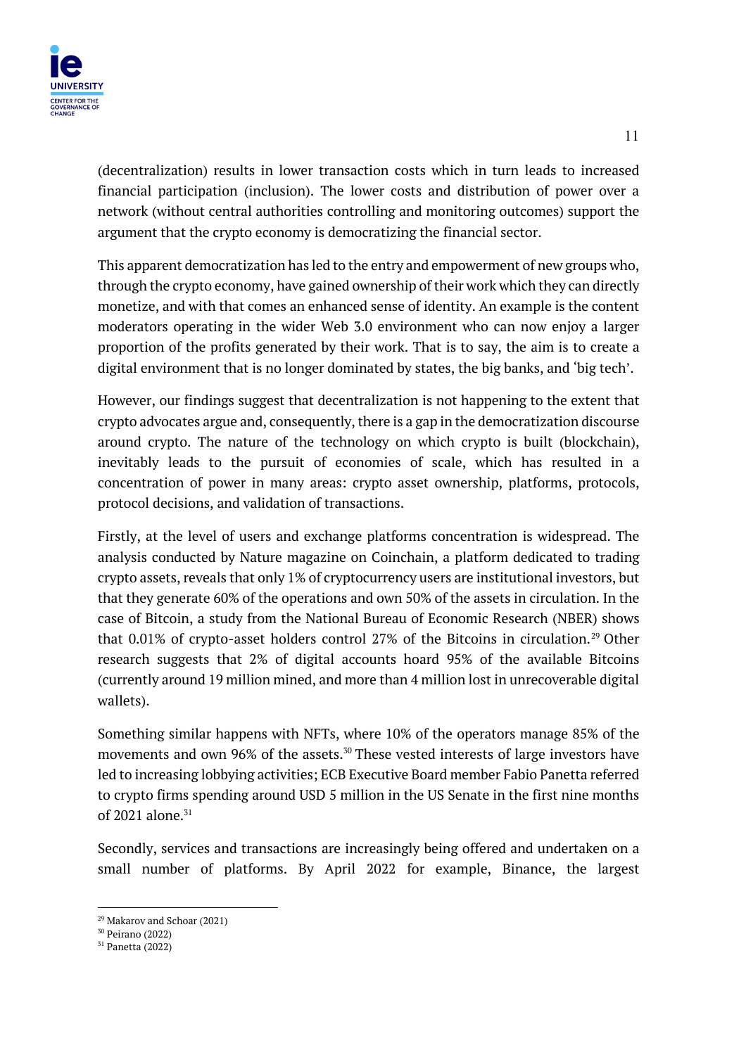(decentralization) results in lower transaction costs which in turn leads to increased financial participation (inclusion). The lower costs and distribution of power over a network (without central authorities controlling and monitoring outcomes) support the argument that the crypto economy is democratizing the financial sector.

This apparent democratization has led to the entry and empowerment of new groups who, through the crypto economy, have gained ownership of their work which they can directly monetize, and with that comes an enhanced sense of identity. An example is the content moderators operating in the wider Web 3.0 environment who can now enjoy a larger proportion of the profits generated by their work. That is to say, the aim is to create a digital environment that is no longer dominated by states, the big banks, and 'big tech'.

However, our findings suggest that decentralization is not happening to the extent that crypto advocates argue and, consequently, there is a gap in the democratization discourse around crypto. The nature of the technology on which crypto is built (blockchain), inevitably leads to the pursuit of economies of scale, which has resulted in a concentration of power in many areas: crypto asset ownership, platforms, protocols, protocol decisions, and validation of transactions.

Firstly, at the level of users and exchange platforms concentration is widespread. The analysis conducted by Nature magazine on Coinchain, a platform dedicated to trading crypto assets, reveals that only 1% of cryptocurrency users are institutional investors, but that they generate 60% of the operations and own 50% of the assets in circulation. In the case of Bitcoin, a study from the National Bureau of Economic Research (NBER) shows that 0.01% of crypto-asset holders control 27% of the Bitcoins in circulation.<sup>29</sup> Other research suggests that 2% of digital accounts hoard 95% of the available Bitcoins (currently around 19 million mined, and more than 4 million lost in unrecoverable digital wallets).

Something similar happens with NFTs, where 10% of the operators manage 85% of the movements and own 96% of the assets.<sup>30</sup> These vested interests of large investors have led to increasing lobbying activities; ECB Executive Board member Fabio Panetta referred to crypto firms spending around USD 5 million in the US Senate in the first nine months of 2021 alone. $31$ 

Secondly, services and transactions are increasingly being offered and undertaken on a small number of platforms. By April 2022 for example, Binance, the largest

 $29$  Makarov and Schoar (2021)

<sup>30</sup> Peirano (2022)

<sup>31</sup> Panetta (2022)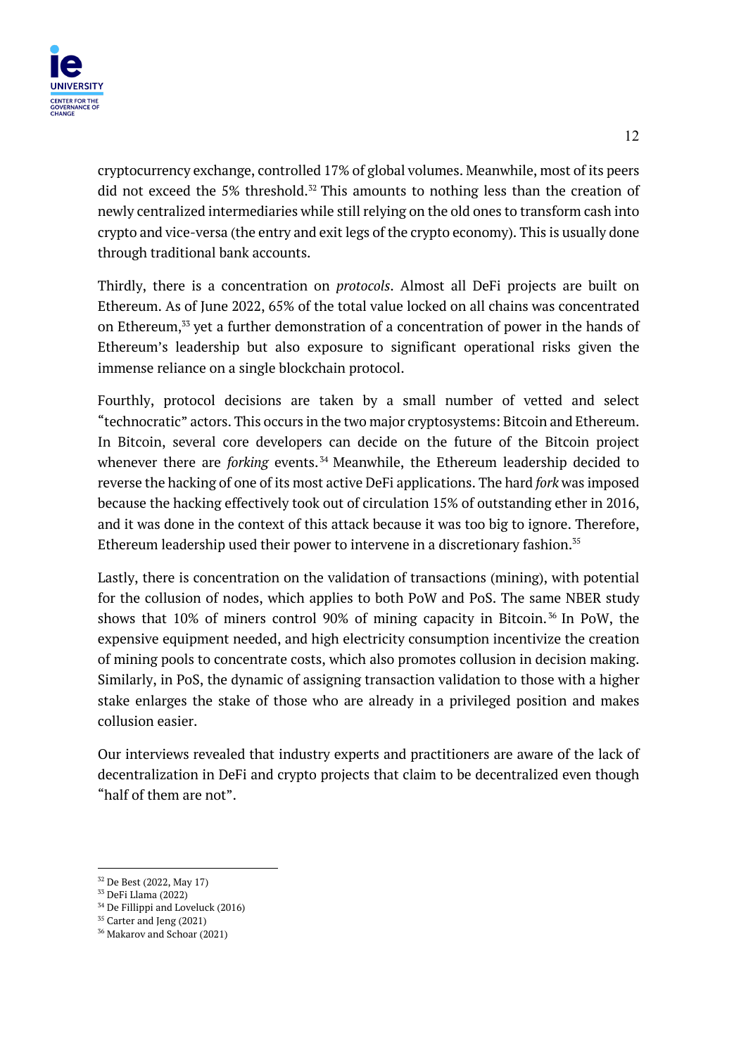

cryptocurrency exchange, controlled 17% of global volumes. Meanwhile, most of its peers did not exceed the 5% threshold.<sup>32</sup> This amounts to nothing less than the creation of newly centralized intermediaries while still relying on the old ones to transform cash into crypto and vice-versa (the entry and exit legs of the crypto economy). This is usually done through traditional bank accounts.

Thirdly, there is a concentration on *protocols*. Almost all DeFi projects are built on Ethereum. As of June 2022, 65% of the total value locked on all chains was concentrated on Ethereum,33 yet a further demonstration of a concentration of power in the hands of Ethereum's leadership but also exposure to significant operational risks given the immense reliance on a single blockchain protocol.

Fourthly, protocol decisions are taken by a small number of vetted and select "technocratic" actors. This occurs in the two major cryptosystems: Bitcoin and Ethereum. In Bitcoin, several core developers can decide on the future of the Bitcoin project whenever there are *forking* events.<sup>34</sup> Meanwhile, the Ethereum leadership decided to reverse the hacking of one of its most active DeFi applications. The hard *fork* was imposed because the hacking effectively took out of circulation 15% of outstanding ether in 2016, and it was done in the context of this attack because it was too big to ignore. Therefore, Ethereum leadership used their power to intervene in a discretionary fashion.<sup>35</sup>

Lastly, there is concentration on the validation of transactions (mining), with potential for the collusion of nodes, which applies to both PoW and PoS. The same NBER study shows that 10% of miners control 90% of mining capacity in Bitcoin. <sup>36</sup> In PoW, the expensive equipment needed, and high electricity consumption incentivize the creation of mining pools to concentrate costs, which also promotes collusion in decision making. Similarly, in PoS, the dynamic of assigning transaction validation to those with a higher stake enlarges the stake of those who are already in a privileged position and makes collusion easier.

Our interviews revealed that industry experts and practitioners are aware of the lack of decentralization in DeFi and crypto projects that claim to be decentralized even though "half of them are not".

<sup>32</sup> De Best (2022, May 17)

<sup>33</sup> DeFi Llama (2022)

<sup>34</sup> De Fillippi and Loveluck (2016)

<sup>&</sup>lt;sup>35</sup> Carter and Jeng (2021)

<sup>36</sup> Makarov and Schoar (2021)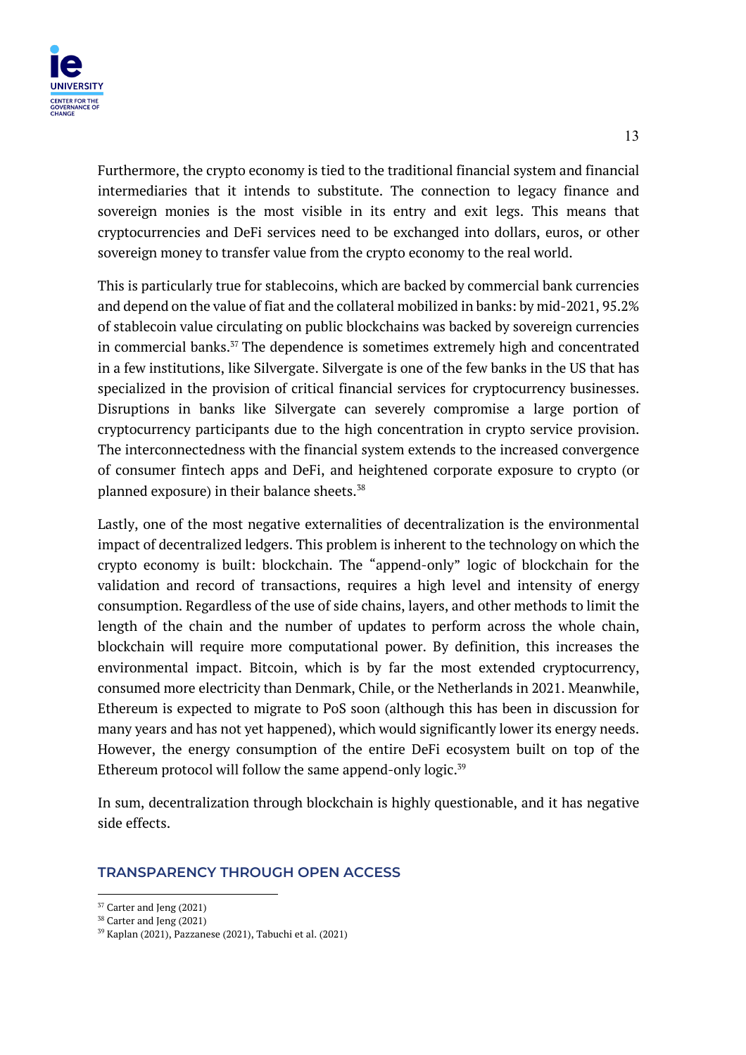

Furthermore, the crypto economy is tied to the traditional financial system and financial intermediaries that it intends to substitute. The connection to legacy finance and sovereign monies is the most visible in its entry and exit legs. This means that cryptocurrencies and DeFi services need to be exchanged into dollars, euros, or other sovereign money to transfer value from the crypto economy to the real world.

This is particularly true for stablecoins, which are backed by commercial bank currencies and depend on the value of fiat and the collateral mobilized in banks: by mid-2021, 95.2% of stablecoin value circulating on public blockchains was backed by sovereign currencies in commercial banks.<sup>37</sup> The dependence is sometimes extremely high and concentrated in a few institutions, like Silvergate. Silvergate is one of the few banks in the US that has specialized in the provision of critical financial services for cryptocurrency businesses. Disruptions in banks like Silvergate can severely compromise a large portion of cryptocurrency participants due to the high concentration in crypto service provision. The interconnectedness with the financial system extends to the increased convergence of consumer fintech apps and DeFi, and heightened corporate exposure to crypto (or planned exposure) in their balance sheets.<sup>38</sup>

Lastly, one of the most negative externalities of decentralization is the environmental impact of decentralized ledgers. This problem is inherent to the technology on which the crypto economy is built: blockchain. The "append-only" logic of blockchain for the validation and record of transactions, requires a high level and intensity of energy consumption. Regardless of the use of side chains, layers, and other methods to limit the length of the chain and the number of updates to perform across the whole chain, blockchain will require more computational power. By definition, this increases the environmental impact. Bitcoin, which is by far the most extended cryptocurrency, consumed more electricity than Denmark, Chile, or the Netherlands in 2021. Meanwhile, Ethereum is expected to migrate to PoS soon (although this has been in discussion for many years and has not yet happened), which would significantly lower its energy needs. However, the energy consumption of the entire DeFi ecosystem built on top of the Ethereum protocol will follow the same append-only logic. $39$ 

In sum, decentralization through blockchain is highly questionable, and it has negative side effects.

#### **TRANSPARENCY THROUGH OPEN ACCESS**

<sup>37</sup> Carter and Jeng (2021)

<sup>38</sup> Carter and Jeng (2021)

<sup>39</sup> Kaplan (2021), Pazzanese (2021), Tabuchi et al. (2021)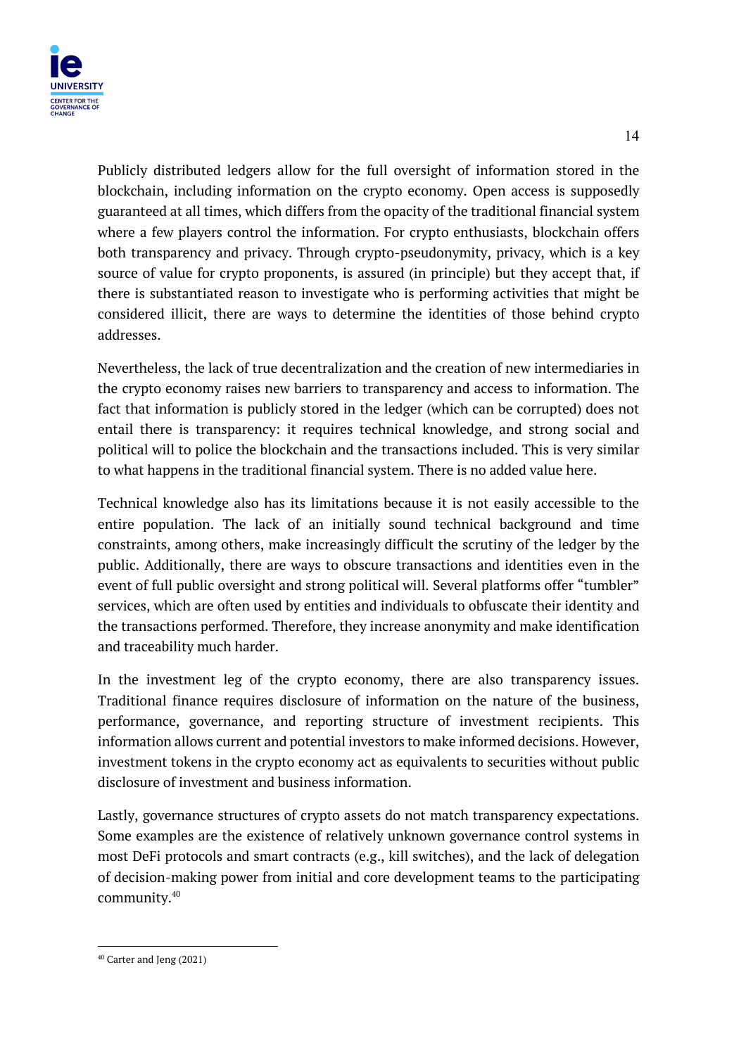

Publicly distributed ledgers allow for the full oversight of information stored in the blockchain, including information on the crypto economy. Open access is supposedly guaranteed at all times, which differs from the opacity of the traditional financial system where a few players control the information. For crypto enthusiasts, blockchain offers both transparency and privacy. Through crypto-pseudonymity, privacy, which is a key source of value for crypto proponents, is assured (in principle) but they accept that, if there is substantiated reason to investigate who is performing activities that might be considered illicit, there are ways to determine the identities of those behind crypto addresses.

Nevertheless, the lack of true decentralization and the creation of new intermediaries in the crypto economy raises new barriers to transparency and access to information. The fact that information is publicly stored in the ledger (which can be corrupted) does not entail there is transparency: it requires technical knowledge, and strong social and political will to police the blockchain and the transactions included. This is very similar to what happens in the traditional financial system. There is no added value here.

Technical knowledge also has its limitations because it is not easily accessible to the entire population. The lack of an initially sound technical background and time constraints, among others, make increasingly difficult the scrutiny of the ledger by the public. Additionally, there are ways to obscure transactions and identities even in the event of full public oversight and strong political will. Several platforms offer "tumbler" services, which are often used by entities and individuals to obfuscate their identity and the transactions performed. Therefore, they increase anonymity and make identification and traceability much harder.

In the investment leg of the crypto economy, there are also transparency issues. Traditional finance requires disclosure of information on the nature of the business, performance, governance, and reporting structure of investment recipients. This information allows current and potential investors to make informed decisions. However, investment tokens in the crypto economy act as equivalents to securities without public disclosure of investment and business information.

Lastly, governance structures of crypto assets do not match transparency expectations. Some examples are the existence of relatively unknown governance control systems in most DeFi protocols and smart contracts (e.g., kill switches), and the lack of delegation of decision-making power from initial and core development teams to the participating community.40

<sup>40</sup> Carter and Jeng (2021)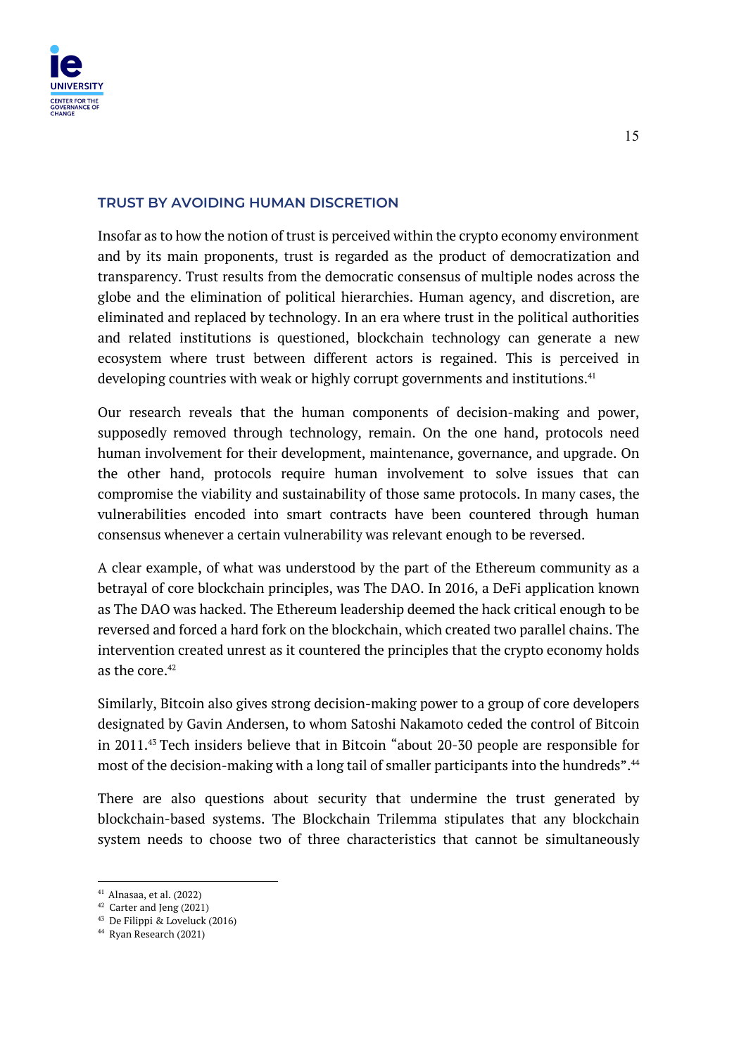

#### **TRUST BY AVOIDING HUMAN DISCRETION**

Insofar as to how the notion of trust is perceived within the crypto economy environment and by its main proponents, trust is regarded as the product of democratization and transparency. Trust results from the democratic consensus of multiple nodes across the globe and the elimination of political hierarchies. Human agency, and discretion, are eliminated and replaced by technology. In an era where trust in the political authorities and related institutions is questioned, blockchain technology can generate a new ecosystem where trust between different actors is regained. This is perceived in developing countries with weak or highly corrupt governments and institutions.<sup>41</sup>

Our research reveals that the human components of decision-making and power, supposedly removed through technology, remain. On the one hand, protocols need human involvement for their development, maintenance, governance, and upgrade. On the other hand, protocols require human involvement to solve issues that can compromise the viability and sustainability of those same protocols. In many cases, the vulnerabilities encoded into smart contracts have been countered through human consensus whenever a certain vulnerability was relevant enough to be reversed.

A clear example, of what was understood by the part of the Ethereum community as a betrayal of core blockchain principles, was The DAO. In 2016, a DeFi application known as The DAO was hacked. The Ethereum leadership deemed the hack critical enough to be reversed and forced a hard fork on the blockchain, which created two parallel chains. The intervention created unrest as it countered the principles that the crypto economy holds as the core. $42$ 

Similarly, Bitcoin also gives strong decision-making power to a group of core developers designated by Gavin Andersen, to whom Satoshi Nakamoto ceded the control of Bitcoin in 2011.43 Tech insiders believe that in Bitcoin "about 20-30 people are responsible for most of the decision-making with a long tail of smaller participants into the hundreds".<sup>44</sup>

There are also questions about security that undermine the trust generated by blockchain-based systems. The Blockchain Trilemma stipulates that any blockchain system needs to choose two of three characteristics that cannot be simultaneously

<sup>41</sup> Alnasaa, et al. (2022)

<sup>42</sup> Carter and Jeng (2021)

<sup>43</sup> De Filippi & Loveluck (2016)

<sup>44</sup> Ryan Research (2021)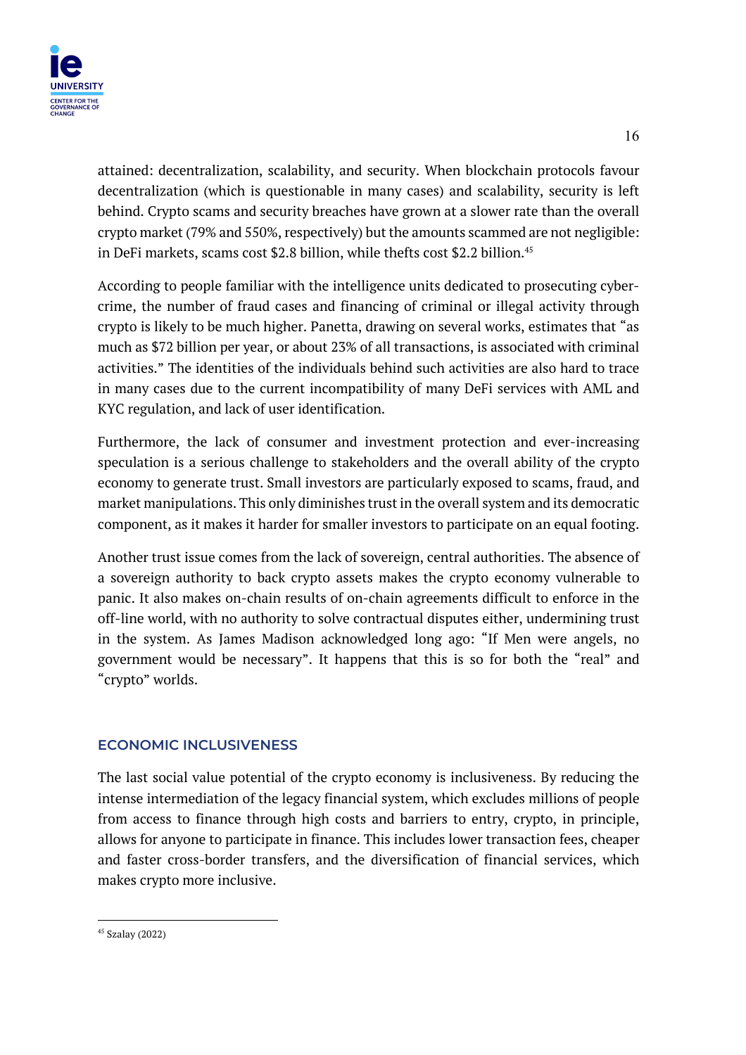

attained: decentralization, scalability, and security. When blockchain protocols favour decentralization (which is questionable in many cases) and scalability, security is left behind. Crypto scams and security breaches have grown at a slower rate than the overall crypto market (79% and 550%, respectively) but the amounts scammed are not negligible: in DeFi markets, scams cost \$2.8 billion, while thefts cost \$2.2 billion.<sup>45</sup>

According to people familiar with the intelligence units dedicated to prosecuting cybercrime, the number of fraud cases and financing of criminal or illegal activity through crypto is likely to be much higher. Panetta, drawing on several works, estimates that "as much as \$72 billion per year, or about 23% of all transactions, is associated with criminal activities." The identities of the individuals behind such activities are also hard to trace in many cases due to the current incompatibility of many DeFi services with AML and KYC regulation, and lack of user identification.

Furthermore, the lack of consumer and investment protection and ever-increasing speculation is a serious challenge to stakeholders and the overall ability of the crypto economy to generate trust. Small investors are particularly exposed to scams, fraud, and market manipulations. This only diminishes trust in the overall system and its democratic component, as it makes it harder for smaller investors to participate on an equal footing.

Another trust issue comes from the lack of sovereign, central authorities. The absence of a sovereign authority to back crypto assets makes the crypto economy vulnerable to panic. It also makes on-chain results of on-chain agreements difficult to enforce in the off-line world, with no authority to solve contractual disputes either, undermining trust in the system. As James Madison acknowledged long ago: "If Men were angels, no government would be necessary". It happens that this is so for both the "real" and "crypto" worlds.

# **ECONOMIC INCLUSIVENESS**

The last social value potential of the crypto economy is inclusiveness. By reducing the intense intermediation of the legacy financial system, which excludes millions of people from access to finance through high costs and barriers to entry, crypto, in principle, allows for anyone to participate in finance. This includes lower transaction fees, cheaper and faster cross-border transfers, and the diversification of financial services, which makes crypto more inclusive.

<sup>45</sup> Szalay (2022)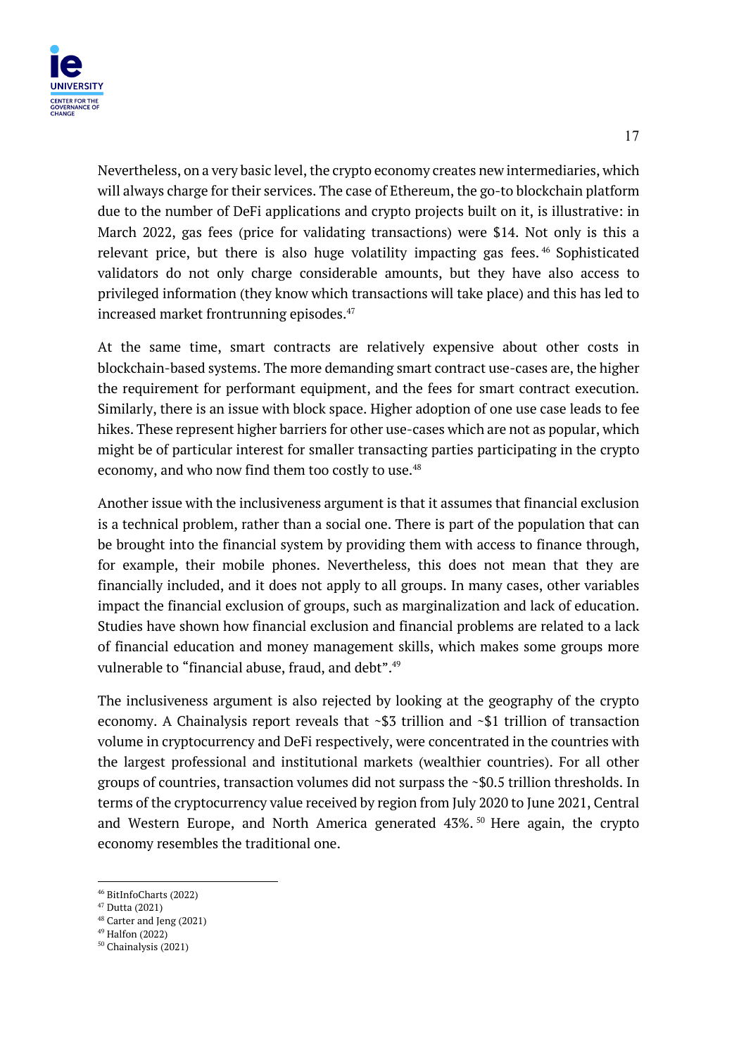

Nevertheless, on a very basic level, the crypto economy creates new intermediaries, which will always charge for their services. The case of Ethereum, the go-to blockchain platform due to the number of DeFi applications and crypto projects built on it, is illustrative: in March 2022, gas fees (price for validating transactions) were \$14. Not only is this a relevant price, but there is also huge volatility impacting gas fees. <sup>46</sup> Sophisticated validators do not only charge considerable amounts, but they have also access to privileged information (they know which transactions will take place) and this has led to increased market frontrunning episodes.<sup>47</sup>

At the same time, smart contracts are relatively expensive about other costs in blockchain-based systems. The more demanding smart contract use-cases are, the higher the requirement for performant equipment, and the fees for smart contract execution. Similarly, there is an issue with block space. Higher adoption of one use case leads to fee hikes. These represent higher barriers for other use-cases which are not as popular, which might be of particular interest for smaller transacting parties participating in the crypto economy, and who now find them too costly to use.<sup>48</sup>

Another issue with the inclusiveness argument is that it assumes that financial exclusion is a technical problem, rather than a social one. There is part of the population that can be brought into the financial system by providing them with access to finance through, for example, their mobile phones. Nevertheless, this does not mean that they are financially included, and it does not apply to all groups. In many cases, other variables impact the financial exclusion of groups, such as marginalization and lack of education. Studies have shown how financial exclusion and financial problems are related to a lack of financial education and money management skills, which makes some groups more vulnerable to "financial abuse, fraud, and debt".<sup>49</sup>

The inclusiveness argument is also rejected by looking at the geography of the crypto economy. A Chainalysis report reveals that ~\$3 trillion and ~\$1 trillion of transaction volume in cryptocurrency and DeFi respectively, were concentrated in the countries with the largest professional and institutional markets (wealthier countries). For all other groups of countries, transaction volumes did not surpass the ~\$0.5 trillion thresholds. In terms of the cryptocurrency value received by region from July 2020 to June 2021, Central and Western Europe, and North America generated 43%.<sup>50</sup> Here again, the crypto economy resembles the traditional one.

 $46$  BitInfoCharts (2022)<br> $47$  Dutta (2021)

<sup>&</sup>lt;sup>48</sup> Carter and Jeng (2021)

<sup>49</sup> Halfon (2022)

<sup>50</sup> Chainalysis (2021)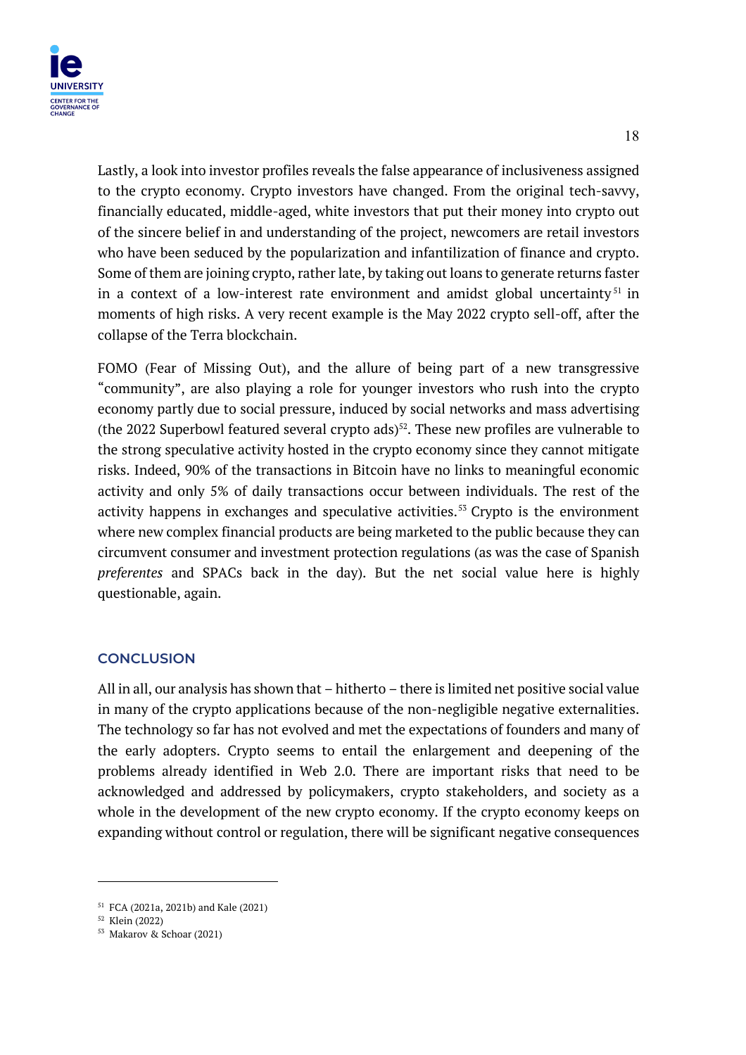

Lastly, a look into investor profiles reveals the false appearance of inclusiveness assigned to the crypto economy. Crypto investors have changed. From the original tech-savvy, financially educated, middle-aged, white investors that put their money into crypto out of the sincere belief in and understanding of the project, newcomers are retail investors who have been seduced by the popularization and infantilization of finance and crypto. Some of them are joining crypto, rather late, by taking out loans to generate returns faster in a context of a low-interest rate environment and amidst global uncertainty<sup>51</sup> in moments of high risks. A very recent example is the May 2022 crypto sell-off, after the collapse of the Terra blockchain.

FOMO (Fear of Missing Out), and the allure of being part of a new transgressive "community", are also playing a role for younger investors who rush into the crypto economy partly due to social pressure, induced by social networks and mass advertising (the 2022 Superbowl featured several crypto ads) $52$ . These new profiles are vulnerable to the strong speculative activity hosted in the crypto economy since they cannot mitigate risks. Indeed, 90% of the transactions in Bitcoin have no links to meaningful economic activity and only 5% of daily transactions occur between individuals. The rest of the activity happens in exchanges and speculative activities.<sup>53</sup> Crypto is the environment where new complex financial products are being marketed to the public because they can circumvent consumer and investment protection regulations (as was the case of Spanish *preferentes* and SPACs back in the day). But the net social value here is highly questionable, again.

#### **CONCLUSION**

All in all, our analysis has shown that – hitherto – there is limited net positive social value in many of the crypto applications because of the non-negligible negative externalities. The technology so far has not evolved and met the expectations of founders and many of the early adopters. Crypto seems to entail the enlargement and deepening of the problems already identified in Web 2.0. There are important risks that need to be acknowledged and addressed by policymakers, crypto stakeholders, and society as a whole in the development of the new crypto economy. If the crypto economy keeps on expanding without control or regulation, there will be significant negative consequences

<sup>51</sup> FCA (2021a, 2021b) and Kale (2021)

<sup>52</sup> Klein (2022)

<sup>53</sup> Makarov & Schoar (2021)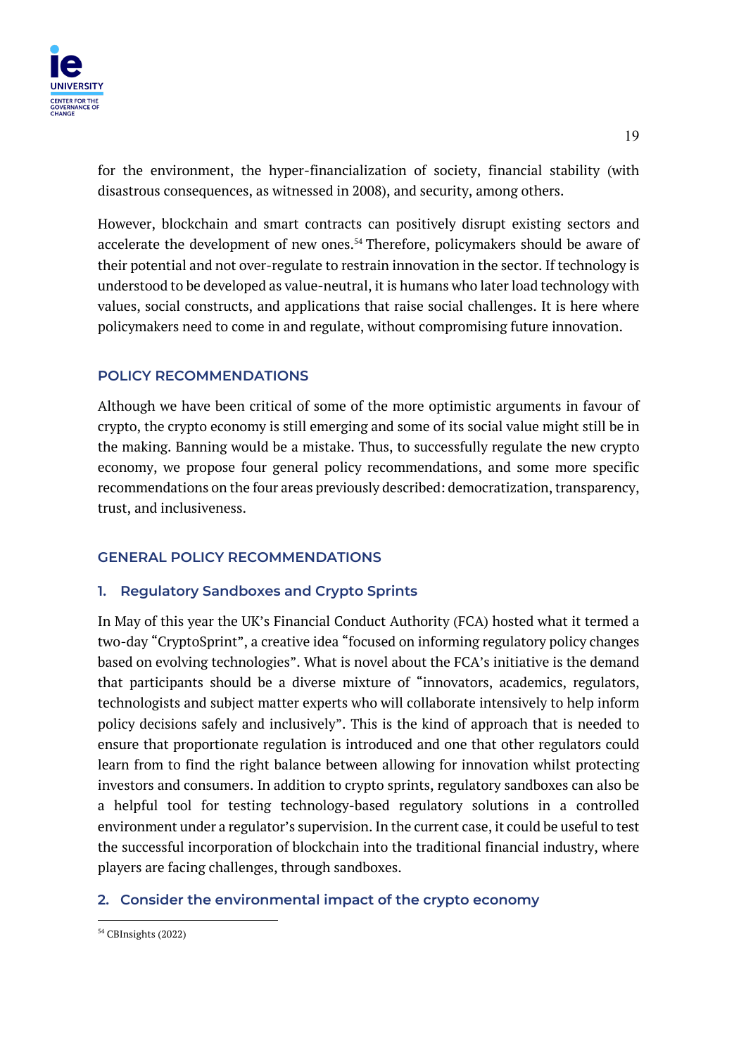

for the environment, the hyper-financialization of society, financial stability (with disastrous consequences, as witnessed in 2008), and security, among others.

However, blockchain and smart contracts can positively disrupt existing sectors and accelerate the development of new ones.<sup>54</sup> Therefore, policymakers should be aware of their potential and not over-regulate to restrain innovation in the sector. If technology is understood to be developed as value-neutral, it is humans who later load technology with values, social constructs, and applications that raise social challenges. It is here where policymakers need to come in and regulate, without compromising future innovation.

# **POLICY RECOMMENDATIONS**

Although we have been critical of some of the more optimistic arguments in favour of crypto, the crypto economy is still emerging and some of its social value might still be in the making. Banning would be a mistake. Thus, to successfully regulate the new crypto economy, we propose four general policy recommendations, and some more specific recommendations on the four areas previously described: democratization, transparency, trust, and inclusiveness.

# **GENERAL POLICY RECOMMENDATIONS**

#### **1. Regulatory Sandboxes and Crypto Sprints**

In May of this year the UK's Financial Conduct Authority (FCA) hosted what it termed a two-day "CryptoSprint", a creative idea "focused on informing regulatory policy changes based on evolving technologies". What is novel about the FCA's initiative is the demand that participants should be a diverse mixture of "innovators, academics, regulators, technologists and subject matter experts who will collaborate intensively to help inform policy decisions safely and inclusively". This is the kind of approach that is needed to ensure that proportionate regulation is introduced and one that other regulators could learn from to find the right balance between allowing for innovation whilst protecting investors and consumers. In addition to crypto sprints, regulatory sandboxes can also be a helpful tool for testing technology-based regulatory solutions in a controlled environment under a regulator's supervision. In the current case, it could be useful to test the successful incorporation of blockchain into the traditional financial industry, where players are facing challenges, through sandboxes.

#### **2. Consider the environmental impact of the crypto economy**

<sup>54</sup> CBInsights (2022)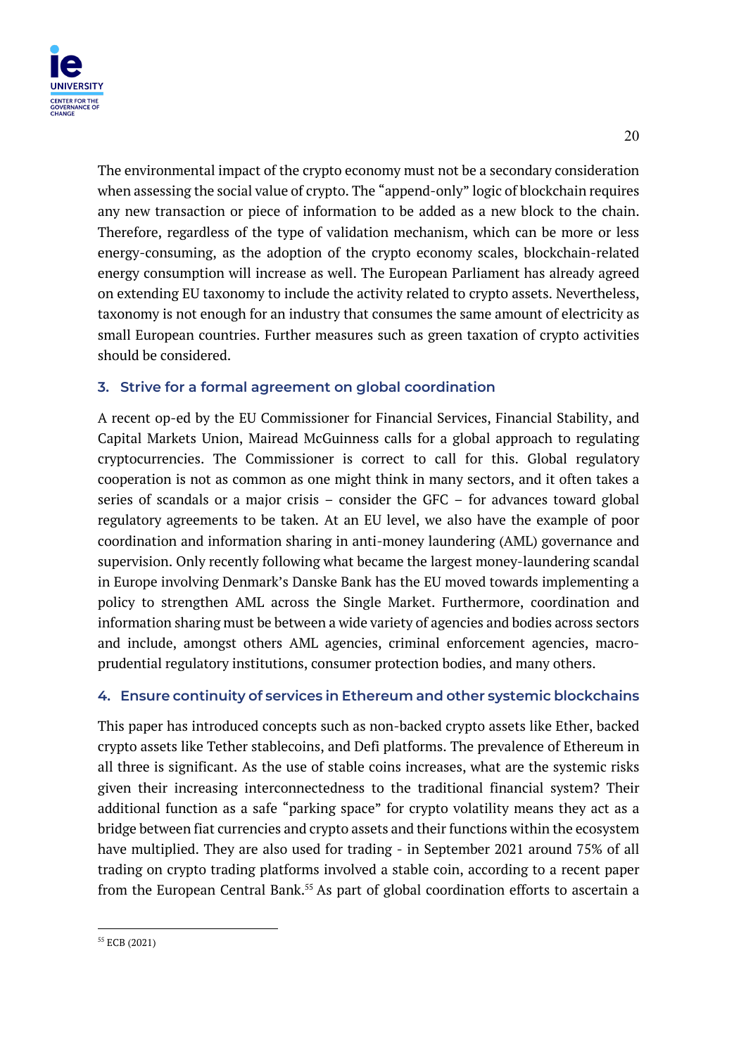

The environmental impact of the crypto economy must not be a secondary consideration when assessing the social value of crypto. The "append-only" logic of blockchain requires any new transaction or piece of information to be added as a new block to the chain. Therefore, regardless of the type of validation mechanism, which can be more or less energy-consuming, as the adoption of the crypto economy scales, blockchain-related energy consumption will increase as well. The European Parliament has already agreed on extending EU taxonomy to include the activity related to crypto assets. Nevertheless, taxonomy is not enough for an industry that consumes the same amount of electricity as small European countries. Further measures such as green taxation of crypto activities should be considered.

# **3. Strive for a formal agreement on global coordination**

A recent op-ed by the EU Commissioner for Financial Services, Financial Stability, and Capital Markets Union, Mairead McGuinness calls for a global approach to regulating cryptocurrencies. The Commissioner is correct to call for this. Global regulatory cooperation is not as common as one might think in many sectors, and it often takes a series of scandals or a major crisis – consider the GFC – for advances toward global regulatory agreements to be taken. At an EU level, we also have the example of poor coordination and information sharing in anti-money laundering (AML) governance and supervision. Only recently following what became the largest money-laundering scandal in Europe involving Denmark's Danske Bank has the EU moved towards implementing a policy to strengthen AML across the Single Market. Furthermore, coordination and information sharing must be between a wide variety of agencies and bodies across sectors and include, amongst others AML agencies, criminal enforcement agencies, macroprudential regulatory institutions, consumer protection bodies, and many others.

# **4. Ensure continuity of services in Ethereum and other systemic blockchains**

This paper has introduced concepts such as non-backed crypto assets like Ether, backed crypto assets like Tether stablecoins, and Defi platforms. The prevalence of Ethereum in all three is significant. As the use of stable coins increases, what are the systemic risks given their increasing interconnectedness to the traditional financial system? Their additional function as a safe "parking space" for crypto volatility means they act as a bridge between fiat currencies and crypto assets and their functions within the ecosystem have multiplied. They are also used for trading - in September 2021 around 75% of all trading on crypto trading platforms involved a stable coin, according to a recent paper from the European Central Bank.<sup>55</sup> As part of global coordination efforts to ascertain a

<sup>55</sup> ECB (2021)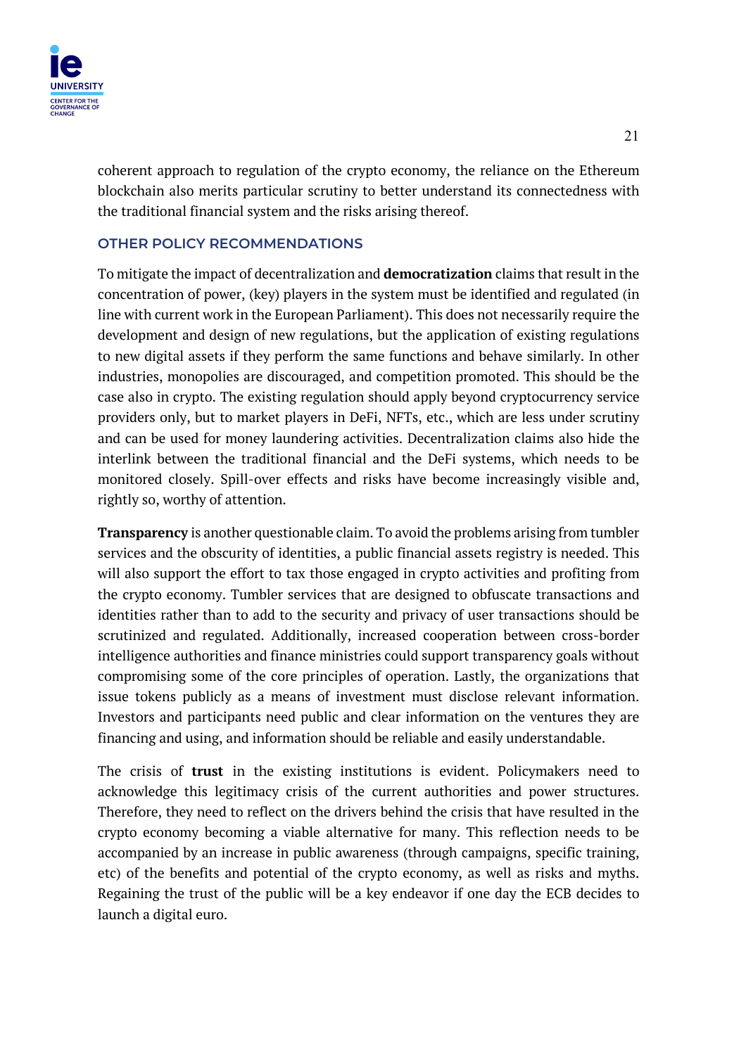

coherent approach to regulation of the crypto economy, the reliance on the Ethereum blockchain also merits particular scrutiny to better understand its connectedness with the traditional financial system and the risks arising thereof.

### **OTHER POLICY RECOMMENDATIONS**

To mitigate the impact of decentralization and **democratization** claims that result in the concentration of power, (key) players in the system must be identified and regulated (in line with current work in the European Parliament). This does not necessarily require the development and design of new regulations, but the application of existing regulations to new digital assets if they perform the same functions and behave similarly. In other industries, monopolies are discouraged, and competition promoted. This should be the case also in crypto. The existing regulation should apply beyond cryptocurrency service providers only, but to market players in DeFi, NFTs, etc., which are less under scrutiny and can be used for money laundering activities. Decentralization claims also hide the interlink between the traditional financial and the DeFi systems, which needs to be monitored closely. Spill-over effects and risks have become increasingly visible and, rightly so, worthy of attention.

**Transparency** is another questionable claim. To avoid the problems arising from tumbler services and the obscurity of identities, a public financial assets registry is needed. This will also support the effort to tax those engaged in crypto activities and profiting from the crypto economy. Tumbler services that are designed to obfuscate transactions and identities rather than to add to the security and privacy of user transactions should be scrutinized and regulated. Additionally, increased cooperation between cross-border intelligence authorities and finance ministries could support transparency goals without compromising some of the core principles of operation. Lastly, the organizations that issue tokens publicly as a means of investment must disclose relevant information. Investors and participants need public and clear information on the ventures they are financing and using, and information should be reliable and easily understandable.

The crisis of **trust** in the existing institutions is evident. Policymakers need to acknowledge this legitimacy crisis of the current authorities and power structures. Therefore, they need to reflect on the drivers behind the crisis that have resulted in the crypto economy becoming a viable alternative for many. This reflection needs to be accompanied by an increase in public awareness (through campaigns, specific training, etc) of the benefits and potential of the crypto economy, as well as risks and myths. Regaining the trust of the public will be a key endeavor if one day the ECB decides to launch a digital euro.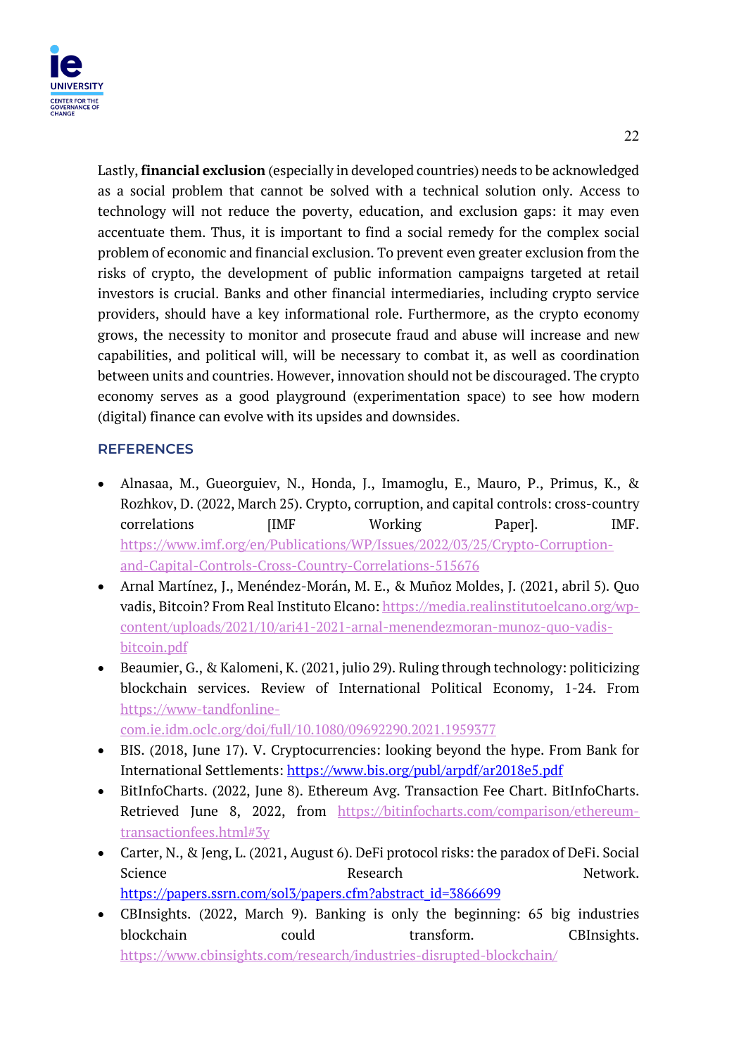Lastly, **financial exclusion** (especially in developed countries) needs to be acknowledged as a social problem that cannot be solved with a technical solution only. Access to technology will not reduce the poverty, education, and exclusion gaps: it may even accentuate them. Thus, it is important to find a social remedy for the complex social problem of economic and financial exclusion. To prevent even greater exclusion from the risks of crypto, the development of public information campaigns targeted at retail investors is crucial. Banks and other financial intermediaries, including crypto service providers, should have a key informational role. Furthermore, as the crypto economy grows, the necessity to monitor and prosecute fraud and abuse will increase and new capabilities, and political will, will be necessary to combat it, as well as coordination between units and countries. However, innovation should not be discouraged. The crypto economy serves as a good playground (experimentation space) to see how modern (digital) finance can evolve with its upsides and downsides.

# **REFERENCES**

- Alnasaa, M., Gueorguiev, N., Honda, J., Imamoglu, E., Mauro, P., Primus, K., & Rozhkov, D. (2022, March 25). Crypto, corruption, and capital controls: cross-country correlations [IMF Working Paper]. IMF. https://www.imf.org/en/Publications/WP/Issues/2022/03/25/Crypto-Corruptionand-Capital-Controls-Cross-Country-Correlations-515676
- Arnal Martínez, J., Menéndez-Morán, M. E., & Muñoz Moldes, J. (2021, abril 5). Quo vadis, Bitcoin? From Real Instituto Elcano: https://media.realinstitutoelcano.org/wpcontent/uploads/2021/10/ari41-2021-arnal-menendezmoran-munoz-quo-vadisbitcoin.pdf
- Beaumier, G., & Kalomeni, K. (2021, julio 29). Ruling through technology: politicizing blockchain services. Review of International Political Economy, 1-24. From https://www-tandfonline-

com.ie.idm.oclc.org/doi/full/10.1080/09692290.2021.1959377

- BIS. (2018, June 17). V. Cryptocurrencies: looking beyond the hype. From Bank for International Settlements: https://www.bis.org/publ/arpdf/ar2018e5.pdf
- BitInfoCharts. (2022, June 8). Ethereum Avg. Transaction Fee Chart. BitInfoCharts. Retrieved June 8, 2022, from https://bitinfocharts.com/comparison/ethereumtransactionfees.html#3y
- Carter, N., & Jeng, L. (2021, August 6). DeFi protocol risks: the paradox of DeFi. Social Science Research Network. https://papers.ssrn.com/sol3/papers.cfm?abstract\_id=3866699
- CBInsights. (2022, March 9). Banking is only the beginning: 65 big industries blockchain could transform. CBInsights. https://www.cbinsights.com/research/industries-disrupted-blockchain/

22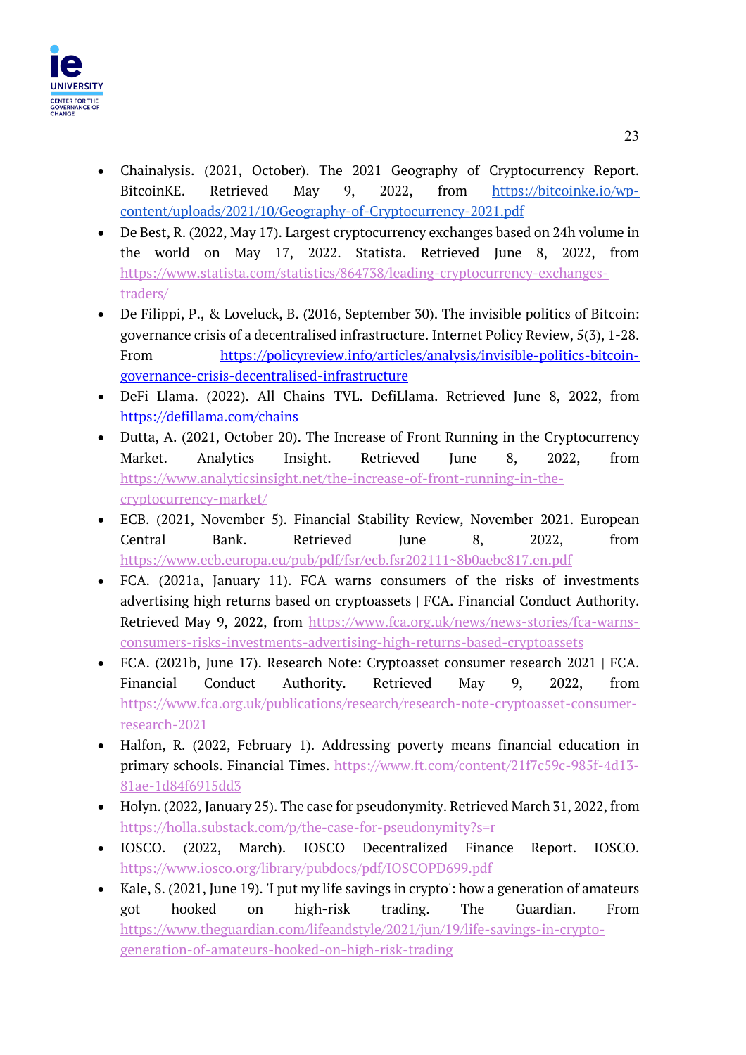

- Chainalysis. (2021, October). The 2021 Geography of Cryptocurrency Report. BitcoinKE. Retrieved May 9, 2022, from https://bitcoinke.io/wpcontent/uploads/2021/10/Geography-of-Cryptocurrency-2021.pdf
- De Best, R. (2022, May 17). Largest cryptocurrency exchanges based on 24h volume in the world on May 17, 2022. Statista. Retrieved June 8, 2022, from https://www.statista.com/statistics/864738/leading-cryptocurrency-exchangestraders/
- De Filippi, P., & Loveluck, B. (2016, September 30). The invisible politics of Bitcoin: governance crisis of a decentralised infrastructure. Internet Policy Review, 5(3), 1-28. From https://policyreview.info/articles/analysis/invisible-politics-bitcoingovernance-crisis-decentralised-infrastructure
- DeFi Llama. (2022). All Chains TVL. DefiLlama. Retrieved June 8, 2022, from https://defillama.com/chains
- Dutta, A. (2021, October 20). The Increase of Front Running in the Cryptocurrency Market. Analytics Insight. Retrieved June 8, 2022, from https://www.analyticsinsight.net/the-increase-of-front-running-in-thecryptocurrency-market/
- ECB. (2021, November 5). Financial Stability Review, November 2021. European Central Bank. Retrieved June 8, 2022, from https://www.ecb.europa.eu/pub/pdf/fsr/ecb.fsr202111~8b0aebc817.en.pdf
- FCA. (2021a, January 11). FCA warns consumers of the risks of investments advertising high returns based on cryptoassets | FCA. Financial Conduct Authority. Retrieved May 9, 2022, from https://www.fca.org.uk/news/news-stories/fca-warnsconsumers-risks-investments-advertising-high-returns-based-cryptoassets
- FCA. (2021b, June 17). Research Note: Cryptoasset consumer research 2021 | FCA. Financial Conduct Authority. Retrieved May 9, 2022, from https://www.fca.org.uk/publications/research/research-note-cryptoasset-consumerresearch-2021
- Halfon, R. (2022, February 1). Addressing poverty means financial education in primary schools. Financial Times. https://www.ft.com/content/21f7c59c-985f-4d13- 81ae-1d84f6915dd3
- Holyn. (2022, January 25). The case for pseudonymity. Retrieved March 31, 2022, from https://holla.substack.com/p/the-case-for-pseudonymity?s=r
- IOSCO. (2022, March). IOSCO Decentralized Finance Report. IOSCO. https://www.iosco.org/library/pubdocs/pdf/IOSCOPD699.pdf
- Kale, S. (2021, June 19). 'I put my life savings in crypto': how a generation of amateurs got hooked on high-risk trading. The Guardian. From https://www.theguardian.com/lifeandstyle/2021/jun/19/life-savings-in-cryptogeneration-of-amateurs-hooked-on-high-risk-trading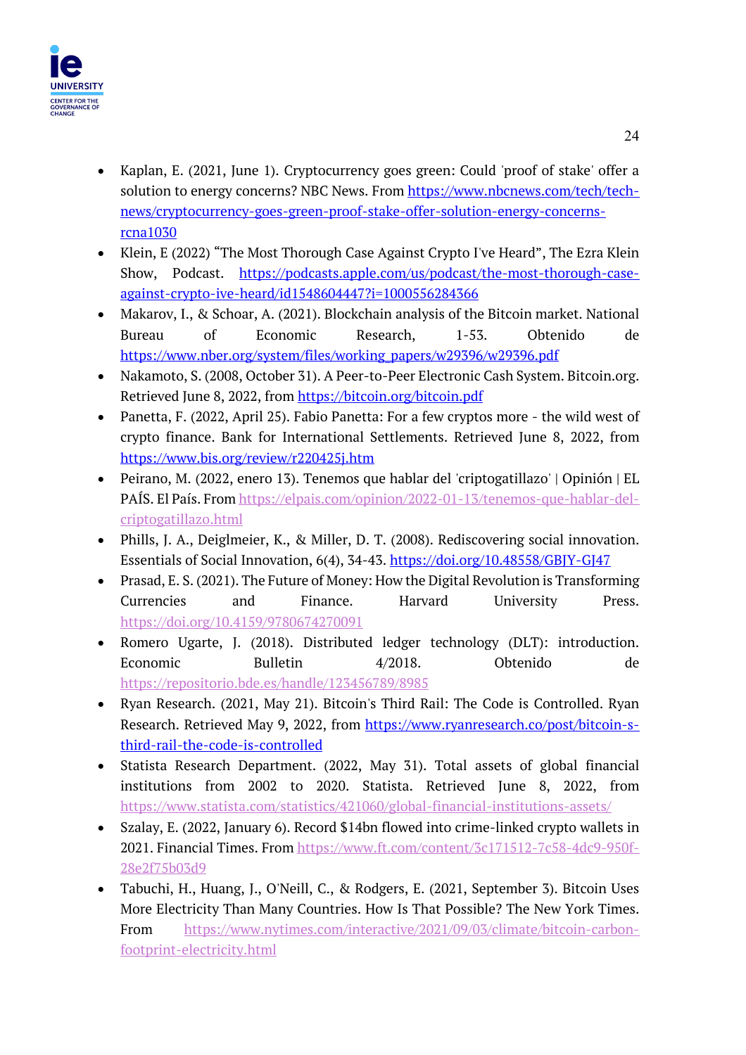

- Kaplan, E. (2021, June 1). Cryptocurrency goes green: Could 'proof of stake' offer a solution to energy concerns? NBC News. From https://www.nbcnews.com/tech/technews/cryptocurrency-goes-green-proof-stake-offer-solution-energy-concernsrcna1030
- Klein, E (2022) "The Most Thorough Case Against Crypto I've Heard", The Ezra Klein Show, Podcast. https://podcasts.apple.com/us/podcast/the-most-thorough-caseagainst-crypto-ive-heard/id1548604447?i=1000556284366
- Makarov, I., & Schoar, A. (2021). Blockchain analysis of the Bitcoin market. National Bureau of Economic Research, 1-53. Obtenido de https://www.nber.org/system/files/working\_papers/w29396/w29396.pdf
- Nakamoto, S. (2008, October 31). A Peer-to-Peer Electronic Cash System. Bitcoin.org. Retrieved June 8, 2022, from https://bitcoin.org/bitcoin.pdf
- Panetta, F. (2022, April 25). Fabio Panetta: For a few cryptos more the wild west of crypto finance. Bank for International Settlements. Retrieved June 8, 2022, from https://www.bis.org/review/r220425j.htm
- Peirano, M. (2022, enero 13). Tenemos que hablar del 'criptogatillazo' | Opinión | EL PAÍS. El País. From https://elpais.com/opinion/2022-01-13/tenemos-que-hablar-delcriptogatillazo.html
- Phills, J. A., Deiglmeier, K., & Miller, D. T. (2008). Rediscovering social innovation. Essentials of Social Innovation, 6(4), 34-43. https://doi.org/10.48558/GBJY-GJ47
- Prasad, E. S. (2021). The Future of Money: How the Digital Revolution is Transforming Currencies and Finance. Harvard University Press. https://doi.org/10.4159/9780674270091
- Romero Ugarte, J. (2018). Distributed ledger technology (DLT): introduction. Economic Bulletin 4/2018. Obtenido de https://repositorio.bde.es/handle/123456789/8985
- Ryan Research. (2021, May 21). Bitcoin's Third Rail: The Code is Controlled. Ryan Research. Retrieved May 9, 2022, from https://www.ryanresearch.co/post/bitcoin-sthird-rail-the-code-is-controlled
- Statista Research Department. (2022, May 31). Total assets of global financial institutions from 2002 to 2020. Statista. Retrieved June 8, 2022, from https://www.statista.com/statistics/421060/global-financial-institutions-assets/
- Szalay, E. (2022, January 6). Record \$14bn flowed into crime-linked crypto wallets in 2021. Financial Times. From https://www.ft.com/content/3c171512-7c58-4dc9-950f-28e2f75b03d9
- Tabuchi, H., Huang, J., O'Neill, C., & Rodgers, E. (2021, September 3). Bitcoin Uses More Electricity Than Many Countries. How Is That Possible? The New York Times. From https://www.nytimes.com/interactive/2021/09/03/climate/bitcoin-carbonfootprint-electricity.html